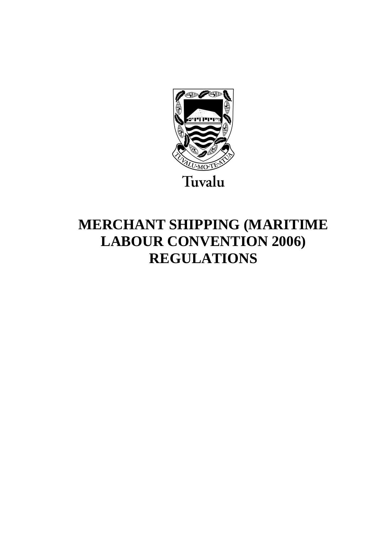

# **MERCHANT SHIPPING (MARITIME LABOUR CONVENTION 2006) REGULATIONS**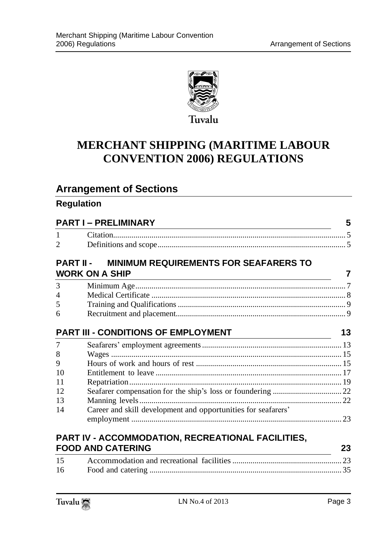

## **MERCHANT SHIPPING (MARITIME LABOUR CONVENTION 2006) REGULATIONS**

### **Arrangement of Sections**

#### **Regulation**

| <b>PART I - PRELIMINARY</b> |                                                                  |    |
|-----------------------------|------------------------------------------------------------------|----|
| $\mathbf{1}$                |                                                                  |    |
| $\overline{2}$              |                                                                  |    |
|                             | <b>MINIMUM REQUIREMENTS FOR SEAFARERS TO</b><br><b>PART II -</b> |    |
|                             | <b>WORK ON A SHIP</b>                                            | 7  |
| 3                           |                                                                  |    |
| $\overline{4}$              |                                                                  |    |
|                             |                                                                  |    |
| 5                           |                                                                  |    |
| 6                           |                                                                  |    |
|                             | <b>PART III - CONDITIONS OF EMPLOYMENT</b>                       | 13 |
| 7                           |                                                                  |    |
| 8                           |                                                                  |    |
| 9                           |                                                                  |    |
| 10                          |                                                                  |    |
| 11                          |                                                                  |    |
| 12                          |                                                                  |    |
| 13                          |                                                                  |    |
| 14                          | Career and skill development and opportunities for seafarers'    |    |

#### **PART IV - [ACCOMMODATION, RECREATIONAL FACILITIES,](#page-22-1)  [FOOD AND CATERING](#page-22-1) 23**

| 15 |  |
|----|--|
| 16 |  |

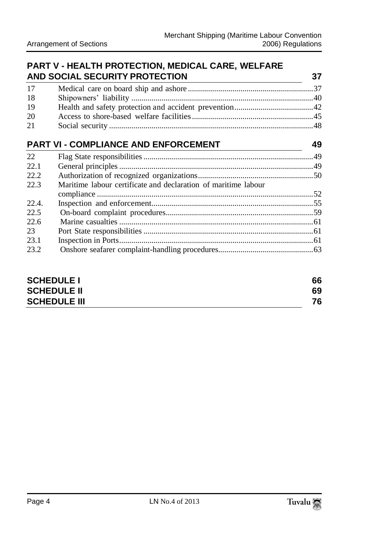#### **PART V - HEALTH [PROTECTION, MEDICAL CARE,](#page-36-0) WELFARE AND SOCIAL SECURITY [PROTECTION](#page-36-0) 37**

| 17 |  |
|----|--|
| 18 |  |
| 19 |  |
| 20 |  |
| 21 |  |

### **PART VI - [COMPLIANCE AND ENFORCEMENT](#page-48-0) 49**

| 22    |                                                                |  |
|-------|----------------------------------------------------------------|--|
| 22.1  |                                                                |  |
| 22.2  |                                                                |  |
| 22.3  | Maritime labour certificate and declaration of maritime labour |  |
|       |                                                                |  |
| 22.4. |                                                                |  |
| 22.5  |                                                                |  |
| 22.6  |                                                                |  |
| 23    |                                                                |  |
| 23.1  |                                                                |  |
| 23.2  |                                                                |  |

| <b>SCHEDULE I</b>   | 66 |
|---------------------|----|
| <b>SCHEDULE II</b>  | 69 |
| <b>SCHEDULE III</b> | 76 |
|                     |    |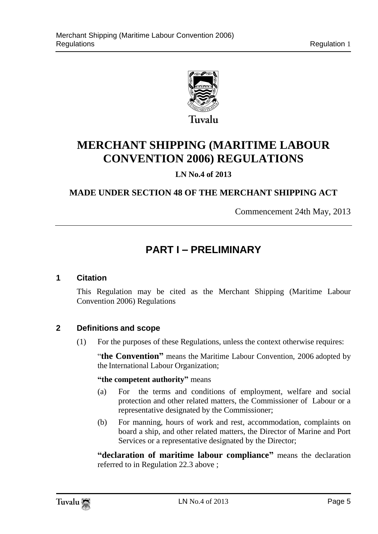

## **MERCHANT SHIPPING (MARITIME LABOUR CONVENTION 2006) REGULATIONS**

#### **LN No.4 of 2013**

#### <span id="page-4-0"></span>**MADE UNDER SECTION 48 OF THE MERCHANT SHIPPING ACT**

Commencement 24th May, 2013

## **PART I – PRELIMINARY**

#### <span id="page-4-1"></span>**1 Citation**

This Regulation may be cited as the Merchant Shipping (Maritime Labour Convention 2006) Regulations

#### <span id="page-4-2"></span>**2 Definitions and scope**

(1) For the purposes of these Regulations, unless the context otherwise requires:

"**the Convention"** means the Maritime Labour Convention, 2006 adopted by the International Labour Organization;

#### **"the competent authority"** means

- (a) For the terms and conditions of employment, welfare and social protection and other related matters, the Commissioner of Labour or a representative designated by the Commissioner;
- (b) For manning, hours of work and rest, accommodation, complaints on board a ship, and other related matters, the Director of Marine and Port Services or a representative designated by the Director;

**"declaration of maritime labour compliance"** means the declaration referred to in Regulation 22.3 above ;

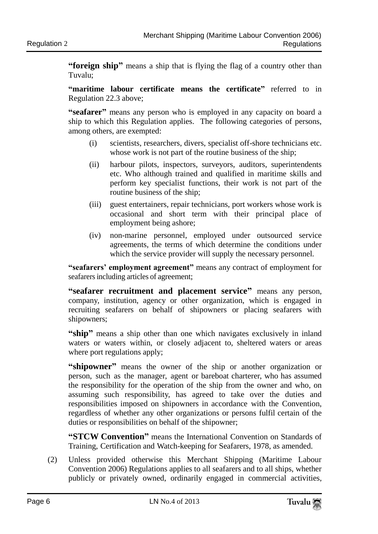**"foreign ship"** means a ship that is flying the flag of a country other than Tuvalu;

**"maritime labour certificate means the certificate"** referred to in Regulation 22.3 above;

**"seafarer"** means any person who is employed in any capacity on board a ship to which this Regulation applies. The following categories of persons, among others, are exempted:

- (i) scientists, researchers, divers, specialist off-shore technicians etc. whose work is not part of the routine business of the ship;
- (ii) harbour pilots, inspectors, surveyors, auditors, superintendents etc. Who although trained and qualified in maritime skills and perform key specialist functions, their work is not part of the routine business of the ship;
- (iii) guest entertainers, repair technicians, port workers whose work is occasional and short term with their principal place of employment being ashore;
- (iv) non-marine personnel, employed under outsourced service agreements, the terms of which determine the conditions under which the service provider will supply the necessary personnel.

**"seafarers' employment agreement"** means any contract of employment for seafarers including articles of agreement;

**"seafarer recruitment and placement service"** means any person, company, institution, agency or other organization, which is engaged in recruiting seafarers on behalf of shipowners or placing seafarers with shipowners;

**"ship"** means a ship other than one which navigates exclusively in inland waters or waters within, or closely adjacent to, sheltered waters or areas where port regulations apply;

**"shipowner"** means the owner of the ship or another organization or person, such as the manager, agent or bareboat charterer, who has assumed the responsibility for the operation of the ship from the owner and who, on assuming such responsibility, has agreed to take over the duties and responsibilities imposed on shipowners in accordance with the Convention, regardless of whether any other organizations or persons fulfil certain of the duties or responsibilities on behalf of the shipowner;

**"STCW Convention"** means the International Convention on Standards of Training, Certification and Watch-keeping for Seafarers, 1978, as amended.

(2) Unless provided otherwise this Merchant Shipping (Maritime Labour Convention 2006) Regulations applies to all seafarers and to all ships, whether publicly or privately owned, ordinarily engaged in commercial activities,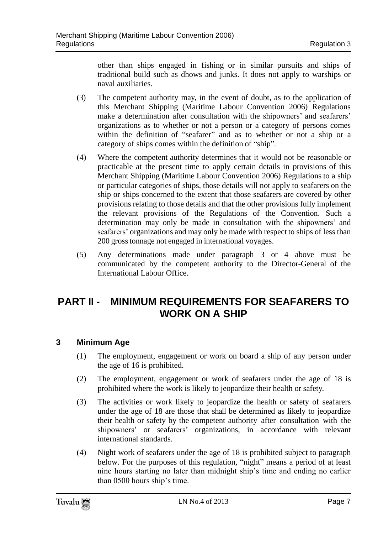other than ships engaged in fishing or in similar pursuits and ships of traditional build such as dhows and junks. It does not apply to warships or naval auxiliaries.

- (3) The competent authority may, in the event of doubt, as to the application of this Merchant Shipping (Maritime Labour Convention 2006) Regulations make a determination after consultation with the shipowners' and seafarers' organizations as to whether or not a person or a category of persons comes within the definition of "seafarer" and as to whether or not a ship or a category of ships comes within the definition of "ship".
- (4) Where the competent authority determines that it would not be reasonable or practicable at the present time to apply certain details in provisions of this Merchant Shipping (Maritime Labour Convention 2006) Regulations to a ship or particular categories of ships, those details will not apply to seafarers on the ship or ships concerned to the extent that those seafarers are covered by other provisions relating to those details and that the other provisions fully implement the relevant provisions of the Regulations of the Convention. Such a determination may only be made in consultation with the shipowners' and seafarers' organizations and may only be made with respect to ships of less than 200 grosstonnage not engaged in international voyages.
- (5) Any determinations made under paragraph 3 or 4 above must be communicated by the competent authority to the Director-General of the International Labour Office.

## <span id="page-6-0"></span>**PART II - MINIMUM REQUIREMENTS FOR SEAFARERS TO WORK ON A SHIP**

#### <span id="page-6-1"></span>**3 Minimum Age**

- (1) The employment, engagement or work on board a ship of any person under the age of 16 is prohibited.
- (2) The employment, engagement or work of seafarers under the age of 18 is prohibited where the work is likely to jeopardize their health or safety.
- (3) The activities or work likely to jeopardize the health or safety of seafarers under the age of 18 are those that shall be determined as likely to jeopardize their health or safety by the competent authority after consultation with the shipowners' or seafarers' organizations, in accordance with relevant international standards.
- (4) Night work of seafarers under the age of 18 is prohibited subject to paragraph below. For the purposes of this regulation, "night" means a period of at least nine hours starting no later than midnight ship's time and ending no earlier than 0500 hours ship's time.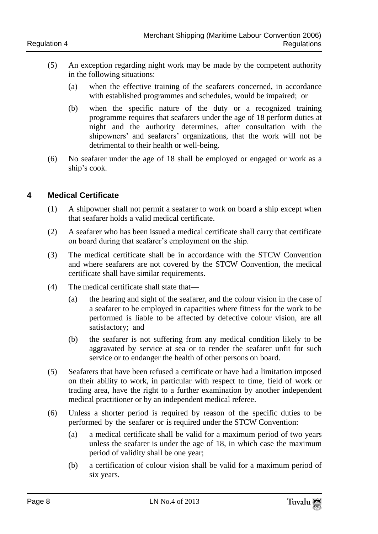- (5) An exception regarding night work may be made by the competent authority in the following situations:
	- (a) when the effective training of the seafarers concerned, in accordance with established programmes and schedules, would be impaired; or
	- (b) when the specific nature of the duty or a recognized training programme requires that seafarers under the age of 18 perform duties at night and the authority determines, after consultation with the shipowners' and seafarers' organizations, that the work will not be detrimental to their health or well-being.
- (6) No seafarer under the age of 18 shall be employed or engaged or work as a ship's cook.

#### <span id="page-7-0"></span>**4 Medical Certificate**

- (1) A shipowner shall not permit a seafarer to work on board a ship except when that seafarer holds a valid medical certificate.
- (2) A seafarer who has been issued a medical certificate shall carry that certificate on board during that seafarer's employment on the ship.
- (3) The medical certificate shall be in accordance with the STCW Convention and where seafarers are not covered by the STCW Convention, the medical certificate shall have similar requirements.
- (4) The medical certificate shall state that—
	- (a) the hearing and sight of the seafarer, and the colour vision in the case of a seafarer to be employed in capacities where fitness for the work to be performed is liable to be affected by defective colour vision, are all satisfactory; and
	- (b) the seafarer is not suffering from any medical condition likely to be aggravated by service at sea or to render the seafarer unfit for such service or to endanger the health of other persons on board.
- (5) Seafarers that have been refused a certificate or have had a limitation imposed on their ability to work, in particular with respect to time, field of work or trading area, have the right to a further examination by another independent medical practitioner or by an independent medical referee.
- (6) Unless a shorter period is required by reason of the specific duties to be performed by the seafarer or is required under the STCW Convention:
	- (a) a medical certificate shall be valid for a maximum period of two years unless the seafarer is under the age of 18, in which case the maximum period of validity shall be one year;
	- (b) a certification of colour vision shall be valid for a maximum period of six years.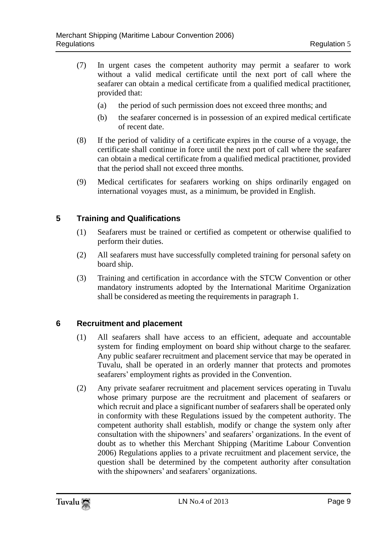- (7) In urgent cases the competent authority may permit a seafarer to work without a valid medical certificate until the next port of call where the seafarer can obtain a medical certificate from a qualified medical practitioner, provided that:
	- (a) the period of such permission does not exceed three months; and
	- (b) the seafarer concerned is in possession of an expired medical certificate of recent date.
- (8) If the period of validity of a certificate expires in the course of a voyage, the certificate shall continue in force until the next port of call where the seafarer can obtain a medical certificate from a qualified medical practitioner, provided that the period shall not exceed three months.
- (9) Medical certificates for seafarers working on ships ordinarily engaged on international voyages must, as a minimum, be provided in English.

#### <span id="page-8-0"></span>**5 Training and Qualifications**

- (1) Seafarers must be trained or certified as competent or otherwise qualified to perform their duties.
- (2) All seafarers must have successfully completed training for personal safety on board ship.
- (3) Training and certification in accordance with the STCW Convention or other mandatory instruments adopted by the International Maritime Organization shall be considered as meeting the requirements in paragraph 1.

#### <span id="page-8-1"></span>**6 Recruitment and placement**

- (1) All seafarers shall have access to an efficient, adequate and accountable system for finding employment on board ship without charge to the seafarer. Any public seafarer recruitment and placement service that may be operated in Tuvalu, shall be operated in an orderly manner that protects and promotes seafarers' employment rights as provided in the Convention.
- (2) Any private seafarer recruitment and placement services operating in Tuvalu whose primary purpose are the recruitment and placement of seafarers or which recruit and place a significant number of seafarers shall be operated only in conformity with these Regulations issued by the competent authority. The competent authority shall establish, modify or change the system only after consultation with the shipowners' and seafarers' organizations. In the event of doubt as to whether this Merchant Shipping (Maritime Labour Convention 2006) Regulations applies to a private recruitment and placement service, the question shall be determined by the competent authority after consultation with the shipowners' and seafarers' organizations.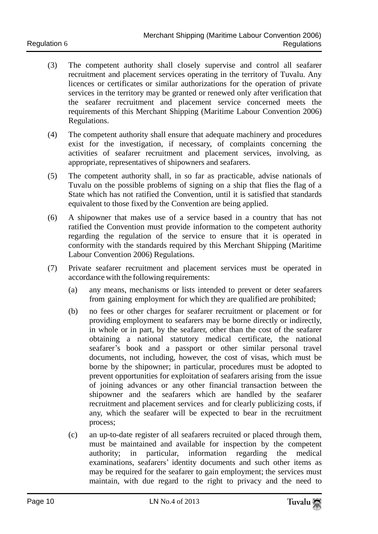- (3) The competent authority shall closely supervise and control all seafarer recruitment and placement services operating in the territory of Tuvalu. Any licences or certificates or similar authorizations for the operation of private services in the territory may be granted or renewed only after verification that the seafarer recruitment and placement service concerned meets the requirements of this Merchant Shipping (Maritime Labour Convention 2006) Regulations.
- (4) The competent authority shall ensure that adequate machinery and procedures exist for the investigation, if necessary, of complaints concerning the activities of seafarer recruitment and placement services, involving, as appropriate, representatives of shipowners and seafarers.
- (5) The competent authority shall, in so far as practicable, advise nationals of Tuvalu on the possible problems of signing on a ship that flies the flag of a State which has not ratified the Convention, until it is satisfied that standards equivalent to those fixed by the Convention are being applied.
- (6) A shipowner that makes use of a service based in a country that has not ratified the Convention must provide information to the competent authority regarding the regulation of the service to ensure that it is operated in conformity with the standards required by this Merchant Shipping (Maritime Labour Convention 2006) Regulations.
- (7) Private seafarer recruitment and placement services must be operated in accordance with the following requirements:
	- (a) any means, mechanisms or lists intended to prevent or deter seafarers from gaining employment for which they are qualified are prohibited;
	- (b) no fees or other charges for seafarer recruitment or placement or for providing employment to seafarers may be borne directly or indirectly, in whole or in part, by the seafarer, other than the cost of the seafarer obtaining a national statutory medical certificate, the national seafarer's book and a passport or other similar personal travel documents, not including, however, the cost of visas, which must be borne by the shipowner; in particular, procedures must be adopted to prevent opportunities for exploitation of seafarers arising from the issue of joining advances or any other financial transaction between the shipowner and the seafarers which are handled by the seafarer recruitment and placement services and for clearly publicizing costs, if any, which the seafarer will be expected to bear in the recruitment process;
	- (c) an up-to-date register of all seafarers recruited or placed through them, must be maintained and available for inspection by the competent authority; in particular, information regarding the medical examinations, seafarers' identity documents and such other items as may be required for the seafarer to gain employment; the services must maintain, with due regard to the right to privacy and the need to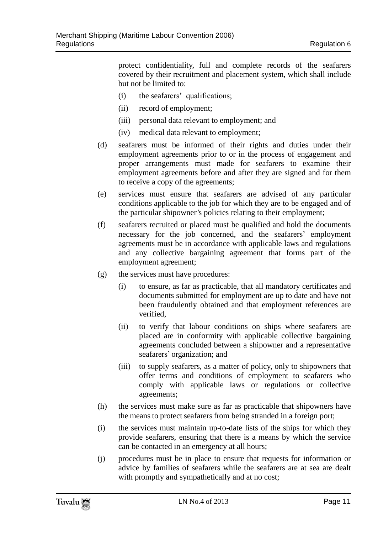protect confidentiality, full and complete records of the seafarers covered by their recruitment and placement system, which shall include but not be limited to:

- (i) the seafarers' qualifications;
- (ii) record of employment;
- (iii) personal data relevant to employment; and
- (iv) medical data relevant to employment;
- (d) seafarers must be informed of their rights and duties under their employment agreements prior to or in the process of engagement and proper arrangements must made for seafarers to examine their employment agreements before and after they are signed and for them to receive a copy of the agreements;
- (e) services must ensure that seafarers are advised of any particular conditions applicable to the job for which they are to be engaged and of the particular shipowner's policies relating to their employment;
- (f) seafarers recruited or placed must be qualified and hold the documents necessary for the job concerned, and the seafarers' employment agreements must be in accordance with applicable laws and regulations and any collective bargaining agreement that forms part of the employment agreement;
- (g) the services must have procedures:
	- (i) to ensure, as far as practicable, that all mandatory certificates and documents submitted for employment are up to date and have not been fraudulently obtained and that employment references are verified,
	- (ii) to verify that labour conditions on ships where seafarers are placed are in conformity with applicable collective bargaining agreements concluded between a shipowner and a representative seafarers' organization; and
	- (iii) to supply seafarers, as a matter of policy, only to shipowners that offer terms and conditions of employment to seafarers who comply with applicable laws or regulations or collective agreements;
- (h) the services must make sure as far as practicable that shipowners have the means to protect seafarers from being stranded in a foreign port;
- (i) the services must maintain up-to-date lists of the ships for which they provide seafarers, ensuring that there is a means by which the service can be contacted in an emergency at all hours;
- (j) procedures must be in place to ensure that requests for information or advice by families of seafarers while the seafarers are at sea are dealt with promptly and sympathetically and at no cost;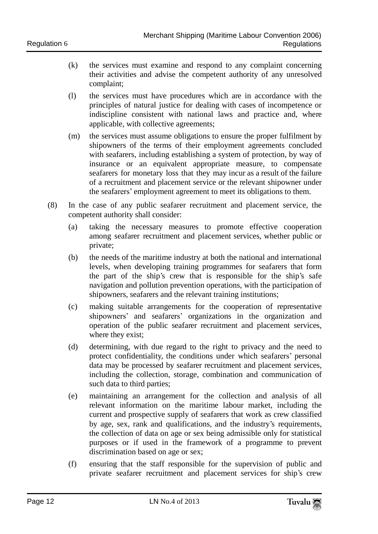- (k) the services must examine and respond to any complaint concerning their activities and advise the competent authority of any unresolved complaint;
- (l) the services must have procedures which are in accordance with the principles of natural justice for dealing with cases of incompetence or indiscipline consistent with national laws and practice and, where applicable, with collective agreements;
- (m) the services must assume obligations to ensure the proper fulfilment by shipowners of the terms of their employment agreements concluded with seafarers, including establishing a system of protection, by way of insurance or an equivalent appropriate measure, to compensate seafarers for monetary loss that they may incur as a result of the failure of a recruitment and placement service or the relevant shipowner under the seafarers' employment agreement to meet its obligations to them.
- (8) In the case of any public seafarer recruitment and placement service, the competent authority shall consider:
	- (a) taking the necessary measures to promote effective cooperation among seafarer recruitment and placement services, whether public or private;
	- (b) the needs of the maritime industry at both the national and international levels, when developing training programmes for seafarers that form the part of the ship's crew that is responsible for the ship's safe navigation and pollution prevention operations, with the participation of shipowners, seafarers and the relevant training institutions;
	- (c) making suitable arrangements for the cooperation of representative shipowners' and seafarers' organizations in the organization and operation of the public seafarer recruitment and placement services, where they exist:
	- (d) determining, with due regard to the right to privacy and the need to protect confidentiality, the conditions under which seafarers' personal data may be processed by seafarer recruitment and placement services, including the collection, storage, combination and communication of such data to third parties;
	- (e) maintaining an arrangement for the collection and analysis of all relevant information on the maritime labour market, including the current and prospective supply of seafarers that work as crew classified by age, sex, rank and qualifications, and the industry's requirements, the collection of data on age or sex being admissible only for statistical purposes or if used in the framework of a programme to prevent discrimination based on age or sex;
	- (f) ensuring that the staff responsible for the supervision of public and private seafarer recruitment and placement services for ship's crew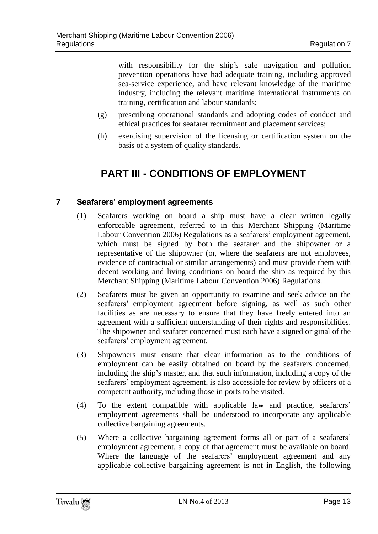with responsibility for the ship's safe navigation and pollution prevention operations have had adequate training, including approved sea-service experience, and have relevant knowledge of the maritime industry, including the relevant maritime international instruments on training, certification and labour standards;

- (g) prescribing operational standards and adopting codes of conduct and ethical practices for seafarer recruitment and placement services;
- <span id="page-12-0"></span>(h) exercising supervision of the licensing or certification system on the basis of a system of quality standards.

## **PART III - CONDITIONS OF EMPLOYMENT**

#### <span id="page-12-1"></span>**7 Seafarers' employment agreements**

- (1) Seafarers working on board a ship must have a clear written legally enforceable agreement, referred to in this Merchant Shipping (Maritime Labour Convention 2006) Regulations as a seafarers' employment agreement, which must be signed by both the seafarer and the shipowner or a representative of the shipowner (or, where the seafarers are not employees, evidence of contractual or similar arrangements) and must provide them with decent working and living conditions on board the ship as required by this Merchant Shipping (Maritime Labour Convention 2006) Regulations.
- (2) Seafarers must be given an opportunity to examine and seek advice on the seafarers' employment agreement before signing, as well as such other facilities as are necessary to ensure that they have freely entered into an agreement with a sufficient understanding of their rights and responsibilities. The shipowner and seafarer concerned must each have a signed original of the seafarers' employment agreement.
- (3) Shipowners must ensure that clear information as to the conditions of employment can be easily obtained on board by the seafarers concerned, including the ship's master, and that such information, including a copy of the seafarers' employment agreement, is also accessible for review by officers of a competent authority, including those in ports to be visited.
- (4) To the extent compatible with applicable law and practice, seafarers' employment agreements shall be understood to incorporate any applicable collective bargaining agreements.
- (5) Where a collective bargaining agreement forms all or part of a seafarers' employment agreement, a copy of that agreement must be available on board. Where the language of the seafarers' employment agreement and any applicable collective bargaining agreement is not in English, the following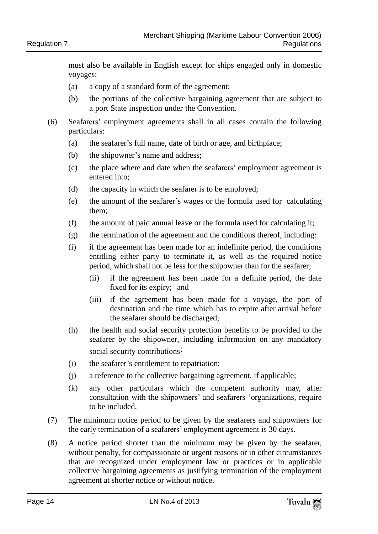must also be available in English except for ships engaged only in domestic voyages:

- (a) a copy of a standard form of the agreement;
- (b) the portions of the collective bargaining agreement that are subject to a port State inspection under the Convention.
- (6) Seafarers' employment agreements shall in all cases contain the following particulars:
	- (a) the seafarer's full name, date of birth or age, and birthplace;
	- (b) the shipowner's name and address;
	- (c) the place where and date when the seafarers' employment agreement is entered into;
	- (d) the capacity in which the seafarer is to be employed;
	- (e) the amount of the seafarer's wages or the formula used for calculating them;
	- (f) the amount of paid annual leave or the formula used for calculating it;
	- (g) the termination of the agreement and the conditions thereof, including:
	- (i) if the agreement has been made for an indefinite period, the conditions entitling either party to terminate it, as well as the required notice period, which shall not be less for the shipowner than for the seafarer;
		- (ii) if the agreement has been made for a definite period, the date fixed for its expiry; and
		- (iii) if the agreement has been made for a voyage, the port of destination and the time which has to expire after arrival before the seafarer should be discharged;
	- (h) the health and social security protection benefits to be provided to the seafarer by the shipowner, including information on any mandatory social security contributions<sup>;</sup>
	- (i) the seafarer's entitlement to repatriation;
	- (j) a reference to the collective bargaining agreement, if applicable;
	- (k) any other particulars which the competent authority may, after consultation with the shipowners' and seafarers 'organizations, require to be included.
- (7) The minimum notice period to be given by the seafarers and shipowners for the early termination of a seafarers' employment agreement is 30 days.
- (8) A notice period shorter than the minimum may be given by the seafarer, without penalty, for compassionate or urgent reasons or in other circumstances that are recognized under employment law or practices or in applicable collective bargaining agreements as justifying termination of the employment agreement at shorter notice or without notice.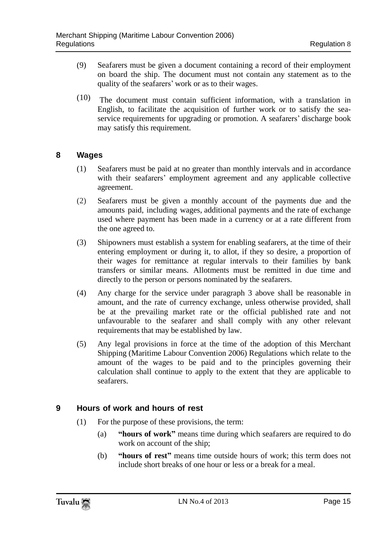- (9) Seafarers must be given a document containing a record of their employment on board the ship. The document must not contain any statement as to the quality of the seafarers' work or as to their wages.
- (10) The document must contain sufficient information, with a translation in English, to facilitate the acquisition of further work or to satisfy the seaservice requirements for upgrading or promotion. A seafarers' discharge book may satisfy this requirement.

#### <span id="page-14-0"></span>**8 Wages**

- (1) Seafarers must be paid at no greater than monthly intervals and in accordance with their seafarers' employment agreement and any applicable collective agreement.
- (2) Seafarers must be given a monthly account of the payments due and the amounts paid, including wages, additional payments and the rate of exchange used where payment has been made in a currency or at a rate different from the one agreed to.
- (3) Shipowners must establish a system for enabling seafarers, at the time of their entering employment or during it, to allot, if they so desire, a proportion of their wages for remittance at regular intervals to their families by bank transfers or similar means. Allotments must be remitted in due time and directly to the person or persons nominated by the seafarers.
- (4) Any charge for the service under paragraph 3 above shall be reasonable in amount, and the rate of currency exchange, unless otherwise provided, shall be at the prevailing market rate or the official published rate and not unfavourable to the seafarer and shall comply with any other relevant requirements that may be established by law.
- (5) Any legal provisions in force at the time of the adoption of this Merchant Shipping (Maritime Labour Convention 2006) Regulations which relate to the amount of the wages to be paid and to the principles governing their calculation shall continue to apply to the extent that they are applicable to seafarers.

#### <span id="page-14-1"></span>**9 Hours of work and hours of rest**

- (1) For the purpose of these provisions, the term:
	- (a) **"hours of work"** means time during which seafarers are required to do work on account of the ship;
	- (b) **"hours of rest"** means time outside hours of work; this term does not include short breaks of one hour or less or a break for a meal.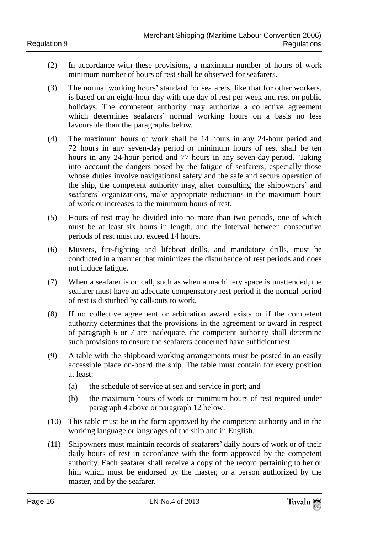- (2) In accordance with these provisions, a maximum number of hours of work minimum number of hours of rest shall be observed for seafarers.
- (3) The normal working hours' standard for seafarers, like that for other workers, is based on an eight-hour day with one day of rest per week and rest on public holidays. The competent authority may authorize a collective agreement which determines seafarers' normal working hours on a basis no less favourable than the paragraphs below.
- (4) The maximum hours of work shall be 14 hours in any 24-hour period and 72 hours in any seven-day period or minimum hours of rest shall be ten hours in any 24-hour period and 77 hours in any seven-day period. Taking into account the dangers posed by the fatigue of seafarers, especially those whose duties involve navigational safety and the safe and secure operation of the ship, the competent authority may, after consulting the shipowners' and seafarers' organizations, make appropriate reductions in the maximum hours of work or increases to the minimum hours of rest.
- (5) Hours of rest may be divided into no more than two periods, one of which must be at least six hours in length, and the interval between consecutive periods of rest must not exceed 14 hours.
- (6) Musters, fire-fighting and lifeboat drills, and mandatory drills, must be conducted in a manner that minimizes the disturbance of rest periods and does not induce fatigue.
- (7) When a seafarer is on call, such as when a machinery space is unattended, the seafarer must have an adequate compensatory rest period if the normal period of rest is disturbed by call-outs to work.
- (8) If no collective agreement or arbitration award exists or if the competent authority determines that the provisions in the agreement or award in respect of paragraph 6 or 7 are inadequate, the competent authority shall determine such provisions to ensure the seafarers concerned have sufficient rest.
- (9) A table with the shipboard working arrangements must be posted in an easily accessible place on-board the ship. The table must contain for every position at least:
	- (a) the schedule of service at sea and service in port; and
	- (b) the maximum hours of work or minimum hours of rest required under paragraph 4 above or paragraph 12 below.
- (10) This table must be in the form approved by the competent authority and in the working language or languages of the ship and in English.
- (11) Shipowners must maintain records of seafarers' daily hours of work or of their daily hours of rest in accordance with the form approved by the competent authority. Each seafarer shall receive a copy of the record pertaining to her or him which must be endorsed by the master, or a person authorized by the master, and by the seafarer.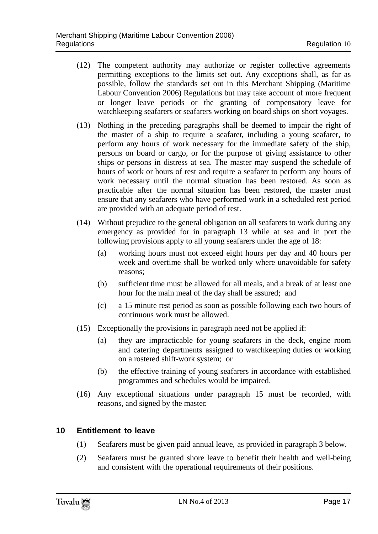- (12) The competent authority may authorize or register collective agreements permitting exceptions to the limits set out. Any exceptions shall, as far as possible, follow the standards set out in this Merchant Shipping (Maritime Labour Convention 2006) Regulations but may take account of more frequent or longer leave periods or the granting of compensatory leave for watchkeeping seafarers or seafarers working on board ships on short voyages.
- (13) Nothing in the preceding paragraphs shall be deemed to impair the right of the master of a ship to require a seafarer, including a young seafarer, to perform any hours of work necessary for the immediate safety of the ship, persons on board or cargo, or for the purpose of giving assistance to other ships or persons in distress at sea. The master may suspend the schedule of hours of work or hours of rest and require a seafarer to perform any hours of work necessary until the normal situation has been restored. As soon as practicable after the normal situation has been restored, the master must ensure that any seafarers who have performed work in a scheduled rest period are provided with an adequate period of rest.
- (14) Without prejudice to the general obligation on all seafarers to work during any emergency as provided for in paragraph 13 while at sea and in port the following provisions apply to all young seafarers under the age of 18:
	- (a) working hours must not exceed eight hours per day and 40 hours per week and overtime shall be worked only where unavoidable for safety reasons;
	- (b) sufficient time must be allowed for all meals, and a break of at least one hour for the main meal of the day shall be assured; and
	- (c) a 15 minute rest period as soon as possible following each two hours of continuous work must be allowed.
- (15) Exceptionally the provisions in paragraph need not be applied if:
	- (a) they are impracticable for young seafarers in the deck, engine room and catering departments assigned to watchkeeping duties or working on a rostered shift-work system; or
	- (b) the effective training of young seafarers in accordance with established programmes and schedules would be impaired.
- (16) Any exceptional situations under paragraph 15 must be recorded, with reasons, and signed by the master.

#### <span id="page-16-0"></span>**10 Entitlement to leave**

- (1) Seafarers must be given paid annual leave, as provided in paragraph 3 below.
- (2) Seafarers must be granted shore leave to benefit their health and well-being and consistent with the operational requirements of their positions.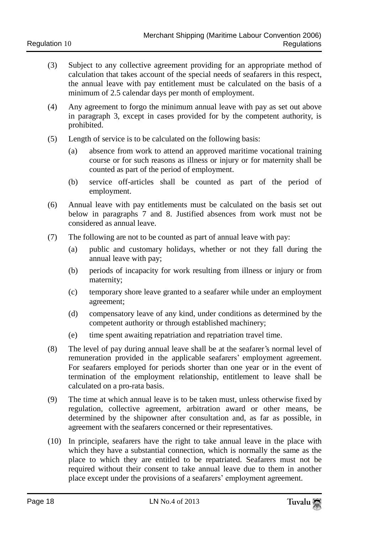- (3) Subject to any collective agreement providing for an appropriate method of calculation that takes account of the special needs of seafarers in this respect, the annual leave with pay entitlement must be calculated on the basis of a minimum of 2.5 calendar days per month of employment.
- (4) Any agreement to forgo the minimum annual leave with pay as set out above in paragraph 3, except in cases provided for by the competent authority, is prohibited.
- (5) Length of service is to be calculated on the following basis:
	- (a) absence from work to attend an approved maritime vocational training course or for such reasons as illness or injury or for maternity shall be counted as part of the period of employment.
	- (b) service off-articles shall be counted as part of the period of employment.
- (6) Annual leave with pay entitlements must be calculated on the basis set out below in paragraphs 7 and 8. Justified absences from work must not be considered as annual leave.
- (7) The following are not to be counted as part of annual leave with pay:
	- (a) public and customary holidays, whether or not they fall during the annual leave with pay;
	- (b) periods of incapacity for work resulting from illness or injury or from maternity;
	- (c) temporary shore leave granted to a seafarer while under an employment agreement;
	- (d) compensatory leave of any kind, under conditions as determined by the competent authority or through established machinery;
	- (e) time spent awaiting repatriation and repatriation travel time.
- (8) The level of pay during annual leave shall be at the seafarer's normal level of remuneration provided in the applicable seafarers' employment agreement. For seafarers employed for periods shorter than one year or in the event of termination of the employment relationship, entitlement to leave shall be calculated on a pro-rata basis.
- (9) The time at which annual leave is to be taken must, unless otherwise fixed by regulation, collective agreement, arbitration award or other means, be determined by the shipowner after consultation and, as far as possible, in agreement with the seafarers concerned or their representatives.
- (10) In principle, seafarers have the right to take annual leave in the place with which they have a substantial connection, which is normally the same as the place to which they are entitled to be repatriated. Seafarers must not be required without their consent to take annual leave due to them in another place except under the provisions of a seafarers' employment agreement.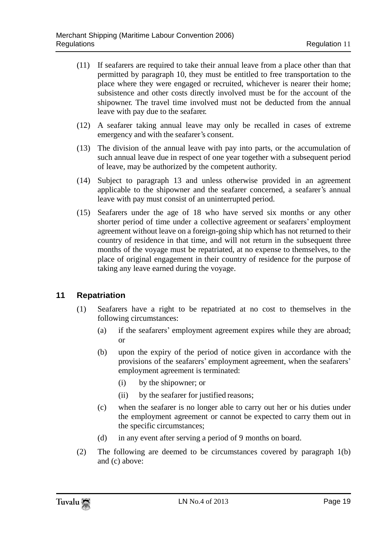- (11) If seafarers are required to take their annual leave from a place other than that permitted by paragraph 10, they must be entitled to free transportation to the place where they were engaged or recruited, whichever is nearer their home; subsistence and other costs directly involved must be for the account of the shipowner. The travel time involved must not be deducted from the annual leave with pay due to the seafarer.
- (12) A seafarer taking annual leave may only be recalled in cases of extreme emergency and with the seafarer's consent.
- (13) The division of the annual leave with pay into parts, or the accumulation of such annual leave due in respect of one year together with a subsequent period of leave, may be authorized by the competent authority.
- (14) Subject to paragraph 13 and unless otherwise provided in an agreement applicable to the shipowner and the seafarer concerned, a seafarer's annual leave with pay must consist of an uninterrupted period.
- (15) Seafarers under the age of 18 who have served six months or any other shorter period of time under a collective agreement or seafarers' employment agreement without leave on a foreign-going ship which has not returned to their country of residence in that time, and will not return in the subsequent three months of the voyage must be repatriated, at no expense to themselves, to the place of original engagement in their country of residence for the purpose of taking any leave earned during the voyage.

#### <span id="page-18-0"></span>**11 Repatriation**

- (1) Seafarers have a right to be repatriated at no cost to themselves in the following circumstances:
	- (a) if the seafarers' employment agreement expires while they are abroad; or
	- (b) upon the expiry of the period of notice given in accordance with the provisions of the seafarers' employment agreement, when the seafarers' employment agreement is terminated:
		- (i) by the shipowner; or
		- (ii) by the seafarer for justified reasons;
	- (c) when the seafarer is no longer able to carry out her or his duties under the employment agreement or cannot be expected to carry them out in the specific circumstances;
	- (d) in any event after serving a period of 9 months on board.
- (2) The following are deemed to be circumstances covered by paragraph 1(b) and (c) above: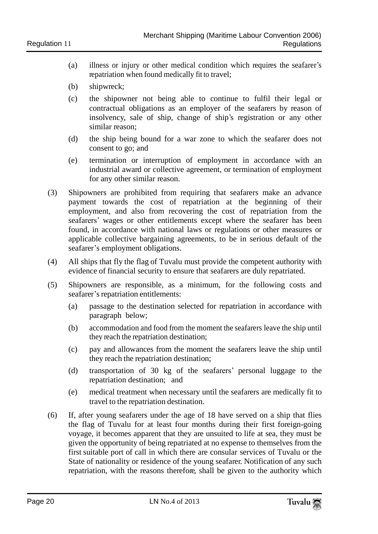- (a) illness or injury or other medical condition which requires the seafarer's repatriation when found medically fit to travel;
- (b) shipwreck;
- (c) the shipowner not being able to continue to fulfil their legal or contractual obligations as an employer of the seafarers by reason of insolvency, sale of ship, change of ship's registration or any other similar reason;
- (d) the ship being bound for a war zone to which the seafarer does not consent to go; and
- (e) termination or interruption of employment in accordance with an industrial award or collective agreement, or termination of employment for any other similar reason.
- (3) Shipowners are prohibited from requiring that seafarers make an advance payment towards the cost of repatriation at the beginning of their employment, and also from recovering the cost of repatriation from the seafarers' wages or other entitlements except where the seafarer has been found, in accordance with national laws or regulations or other measures or applicable collective bargaining agreements, to be in serious default of the seafarer's employment obligations.
- (4) All ships that fly the flag of Tuvalu must provide the competent authority with evidence of financial security to ensure that seafarers are duly repatriated.
- (5) Shipowners are responsible, as a minimum, for the following costs and seafarer's repatriation entitlements:
	- (a) passage to the destination selected for repatriation in accordance with paragraph below;
	- (b) accommodation and food from the moment the seafarers leave the ship until they reach the repatriation destination;
	- (c) pay and allowances from the moment the seafarers leave the ship until they reach the repatriation destination;
	- (d) transportation of 30 kg of the seafarers' personal luggage to the repatriation destination; and
	- (e) medical treatment when necessary until the seafarers are medically fit to travel to the repatriation destination.
- (6) If, after young seafarers under the age of 18 have served on a ship that flies the flag of Tuvalu for at least four months during their first foreign-going voyage, it becomes apparent that they are unsuited to life at sea, they must be given the opportunity of being repatriated at no expense to themselves from the first suitable port of call in which there are consular services of Tuvalu or the State of nationality or residence of the young seafarer. Notification of any such repatriation, with the reasons therefore, shall be given to the authority which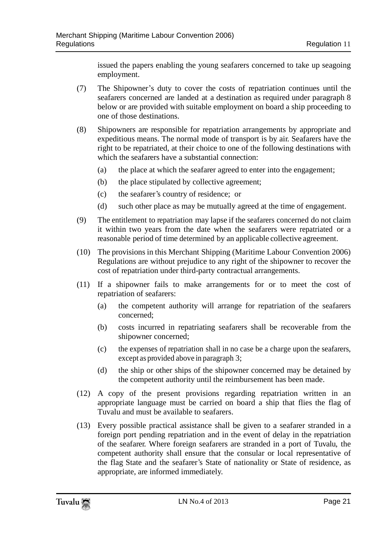issued the papers enabling the young seafarers concerned to take up seagoing employment.

- (7) The Shipowner's duty to cover the costs of repatriation continues until the seafarers concerned are landed at a destination as required under paragraph 8 below or are provided with suitable employment on board a ship proceeding to one of those destinations.
- (8) Shipowners are responsible for repatriation arrangements by appropriate and expeditious means. The normal mode of transport is by air. Seafarers have the right to be repatriated, at their choice to one of the following destinations with which the seafarers have a substantial connection:
	- (a) the place at which the seafarer agreed to enter into the engagement;
	- (b) the place stipulated by collective agreement;
	- (c) the seafarer's country of residence; or
	- (d) such other place as may be mutually agreed at the time of engagement.
- (9) The entitlement to repatriation may lapse if the seafarers concerned do not claim it within two years from the date when the seafarers were repatriated or a reasonable period of time determined by an applicable collective agreement.
- (10) The provisions in this Merchant Shipping (Maritime Labour Convention 2006) Regulations are without prejudice to any right of the shipowner to recover the cost of repatriation under third-party contractual arrangements.
- (11) If a shipowner fails to make arrangements for or to meet the cost of repatriation of seafarers:
	- (a) the competent authority will arrange for repatriation of the seafarers concerned;
	- (b) costs incurred in repatriating seafarers shall be recoverable from the shipowner concerned;
	- (c) the expenses of repatriation shall in no case be a charge upon the seafarers, except as provided above in paragraph 3;
	- (d) the ship or other ships of the shipowner concerned may be detained by the competent authority until the reimbursement has been made.
- (12) A copy of the present provisions regarding repatriation written in an appropriate language must be carried on board a ship that flies the flag of Tuvalu and must be available to seafarers.
- (13) Every possible practical assistance shall be given to a seafarer stranded in a foreign port pending repatriation and in the event of delay in the repatriation of the seafarer. Where foreign seafarers are stranded in a port of Tuvalu, the competent authority shall ensure that the consular or local representative of the flag State and the seafarer's State of nationality or State of residence, as appropriate, are informed immediately.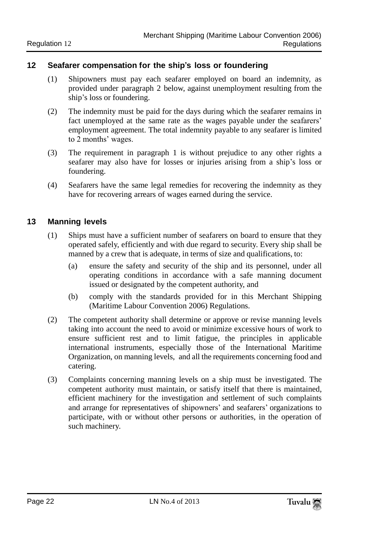#### <span id="page-21-0"></span>**12 Seafarer compensation for the ship's loss or foundering**

- (1) Shipowners must pay each seafarer employed on board an indemnity, as provided under paragraph 2 below, against unemployment resulting from the ship's loss or foundering.
- (2) The indemnity must be paid for the days during which the seafarer remains in fact unemployed at the same rate as the wages payable under the seafarers' employment agreement. The total indemnity payable to any seafarer is limited to 2 months' wages.
- (3) The requirement in paragraph 1 is without prejudice to any other rights a seafarer may also have for losses or injuries arising from a ship's loss or foundering.
- (4) Seafarers have the same legal remedies for recovering the indemnity as they have for recovering arrears of wages earned during the service.

#### <span id="page-21-1"></span>**13 Manning levels**

- (1) Ships must have a sufficient number of seafarers on board to ensure that they operated safely, efficiently and with due regard to security. Every ship shall be manned by a crew that is adequate, in terms of size and qualifications, to:
	- (a) ensure the safety and security of the ship and its personnel, under all operating conditions in accordance with a safe manning document issued or designated by the competent authority, and
	- (b) comply with the standards provided for in this Merchant Shipping (Maritime Labour Convention 2006) Regulations.
- (2) The competent authority shall determine or approve or revise manning levels taking into account the need to avoid or minimize excessive hours of work to ensure sufficient rest and to limit fatigue, the principles in applicable international instruments, especially those of the International Maritime Organization, on manning levels, and all the requirements concerning food and catering.
- (3) Complaints concerning manning levels on a ship must be investigated. The competent authority must maintain, or satisfy itself that there is maintained, efficient machinery for the investigation and settlement of such complaints and arrange for representatives of shipowners' and seafarers' organizations to participate, with or without other persons or authorities, in the operation of such machinery.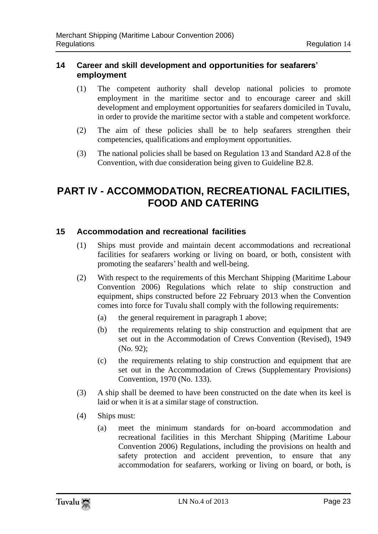#### <span id="page-22-0"></span>**14 Career and skill development and opportunities for seafarers' employment**

- (1) The competent authority shall develop national policies to promote employment in the maritime sector and to encourage career and skill development and employment opportunities for seafarers domiciled in Tuvalu, in order to provide the maritime sector with a stable and competent workforce.
- (2) The aim of these policies shall be to help seafarers strengthen their competencies, qualifications and employment opportunities.
- (3) The national policies shall be based on Regulation 13 and Standard A2.8 of the Convention, with due consideration being given to Guideline B2.8.

## <span id="page-22-1"></span>**PART IV - ACCOMMODATION, RECREATIONAL FACILITIES, FOOD AND CATERING**

#### <span id="page-22-2"></span>**15 Accommodation and recreational facilities**

- (1) Ships must provide and maintain decent accommodations and recreational facilities for seafarers working or living on board, or both, consistent with promoting the seafarers' health and well-being.
- (2) With respect to the requirements of this Merchant Shipping (Maritime Labour Convention 2006) Regulations which relate to ship construction and equipment, ships constructed before 22 February 2013 when the Convention comes into force for Tuvalu shall comply with the following requirements:
	- (a) the general requirement in paragraph 1 above;
	- (b) the requirements relating to ship construction and equipment that are set out in the Accommodation of Crews Convention (Revised), 1949 (No. 92);
	- (c) the requirements relating to ship construction and equipment that are set out in the Accommodation of Crews (Supplementary Provisions) Convention, 1970 (No. 133).
- (3) A ship shall be deemed to have been constructed on the date when its keel is laid or when it is at a similar stage of construction.
- (4) Ships must:
	- (a) meet the minimum standards for on-board accommodation and recreational facilities in this Merchant Shipping (Maritime Labour Convention 2006) Regulations, including the provisions on health and safety protection and accident prevention, to ensure that any accommodation for seafarers, working or living on board, or both, is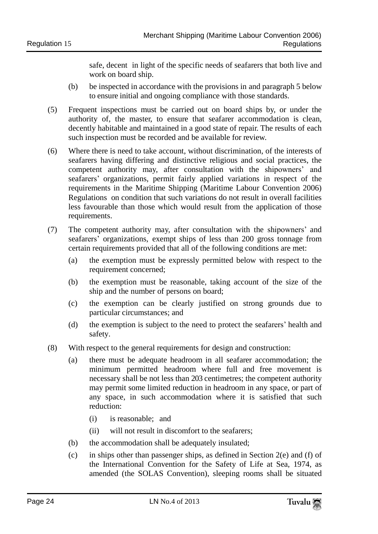safe, decent in light of the specific needs of seafarers that both live and work on board ship.

- (b) be inspected in accordance with the provisions in and paragraph 5 below to ensure initial and ongoing compliance with those standards.
- (5) Frequent inspections must be carried out on board ships by, or under the authority of, the master, to ensure that seafarer accommodation is clean, decently habitable and maintained in a good state of repair. The results of each such inspection must be recorded and be available for review.
- (6) Where there is need to take account, without discrimination, of the interests of seafarers having differing and distinctive religious and social practices, the competent authority may, after consultation with the shipowners' and seafarers' organizations, permit fairly applied variations in respect of the requirements in the Maritime Shipping (Maritime Labour Convention 2006) Regulations on condition that such variations do not result in overall facilities less favourable than those which would result from the application of those requirements.
- (7) The competent authority may, after consultation with the shipowners' and seafarers' organizations, exempt ships of less than 200 gross tonnage from certain requirements provided that all of the following conditions are met:
	- (a) the exemption must be expressly permitted below with respect to the requirement concerned;
	- (b) the exemption must be reasonable, taking account of the size of the ship and the number of persons on board;
	- (c) the exemption can be clearly justified on strong grounds due to particular circumstances; and
	- (d) the exemption is subject to the need to protect the seafarers' health and safety.
- (8) With respect to the general requirements for design and construction:
	- (a) there must be adequate headroom in all seafarer accommodation; the minimum permitted headroom where full and free movement is necessary shall be not less than 203 centimetres; the competent authority may permit some limited reduction in headroom in any space, or part of any space, in such accommodation where it is satisfied that such reduction:
		- (i) is reasonable; and
		- (ii) will not result in discomfort to the seafarers;
	- (b) the accommodation shall be adequately insulated;
	- (c) in ships other than passenger ships, as defined in Section 2(e) and (f) of the International Convention for the Safety of Life at Sea, 1974, as amended (the SOLAS Convention), sleeping rooms shall be situated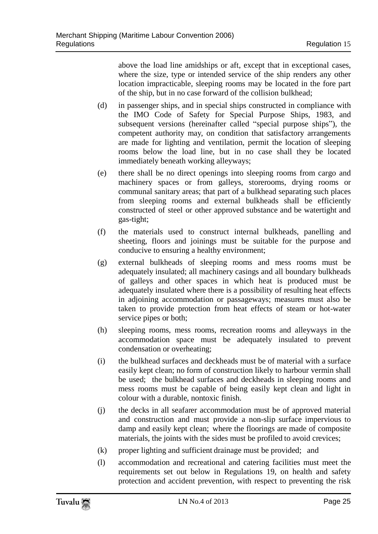above the load line amidships or aft, except that in exceptional cases, where the size, type or intended service of the ship renders any other location impracticable, sleeping rooms may be located in the fore part of the ship, but in no case forward of the collision bulkhead;

- (d) in passenger ships, and in special ships constructed in compliance with the IMO Code of Safety for Special Purpose Ships, 1983, and subsequent versions (hereinafter called "special purpose ships"), the competent authority may, on condition that satisfactory arrangements are made for lighting and ventilation, permit the location of sleeping rooms below the load line, but in no case shall they be located immediately beneath working alleyways;
- (e) there shall be no direct openings into sleeping rooms from cargo and machinery spaces or from galleys, storerooms, drying rooms or communal sanitary areas; that part of a bulkhead separating such places from sleeping rooms and external bulkheads shall be efficiently constructed of steel or other approved substance and be watertight and gas-tight;
- (f) the materials used to construct internal bulkheads, panelling and sheeting, floors and joinings must be suitable for the purpose and conducive to ensuring a healthy environment;
- (g) external bulkheads of sleeping rooms and mess rooms must be adequately insulated; all machinery casings and all boundary bulkheads of galleys and other spaces in which heat is produced must be adequately insulated where there is a possibility of resulting heat effects in adjoining accommodation or passageways; measures must also be taken to provide protection from heat effects of steam or hot-water service pipes or both;
- (h) sleeping rooms, mess rooms, recreation rooms and alleyways in the accommodation space must be adequately insulated to prevent condensation or overheating;
- (i) the bulkhead surfaces and deckheads must be of material with a surface easily kept clean; no form of construction likely to harbour vermin shall be used; the bulkhead surfaces and deckheads in sleeping rooms and mess rooms must be capable of being easily kept clean and light in colour with a durable, nontoxic finish.
- (j) the decks in all seafarer accommodation must be of approved material and construction and must provide a non-slip surface impervious to damp and easily kept clean; where the floorings are made of composite materials, the joints with the sides must be profiled to avoid crevices;
- (k) proper lighting and sufficient drainage must be provided; and
- (l) accommodation and recreational and catering facilities must meet the requirements set out below in Regulations 19, on health and safety protection and accident prevention, with respect to preventing the risk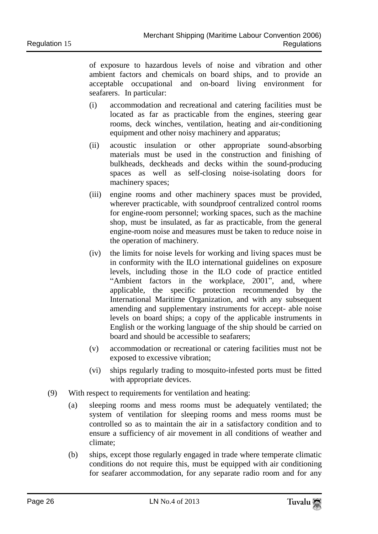of exposure to hazardous levels of noise and vibration and other ambient factors and chemicals on board ships, and to provide an acceptable occupational and on-board living environment for seafarers. In particular:

- (i) accommodation and recreational and catering facilities must be located as far as practicable from the engines, steering gear rooms, deck winches, ventilation, heating and air-conditioning equipment and other noisy machinery and apparatus;
- (ii) acoustic insulation or other appropriate sound-absorbing materials must be used in the construction and finishing of bulkheads, deckheads and decks within the sound-producing spaces as well as self-closing noise-isolating doors for machinery spaces;
- (iii) engine rooms and other machinery spaces must be provided, wherever practicable, with soundproof centralized control rooms for engine-room personnel; working spaces, such as the machine shop, must be insulated, as far as practicable, from the general engine-room noise and measures must be taken to reduce noise in the operation of machinery.
- (iv) the limits for noise levels for working and living spaces must be in conformity with the ILO international guidelines on exposure levels, including those in the ILO code of practice entitled "Ambient factors in the workplace, 2001", and, where applicable, the specific protection recommended by the International Maritime Organization, and with any subsequent amending and supplementary instruments for accept- able noise levels on board ships; a copy of the applicable instruments in English or the working language of the ship should be carried on board and should be accessible to seafarers;
- (v) accommodation or recreational or catering facilities must not be exposed to excessive vibration;
- (vi) ships regularly trading to mosquito-infested ports must be fitted with appropriate devices.
- (9) With respect to requirements for ventilation and heating:
	- (a) sleeping rooms and mess rooms must be adequately ventilated; the system of ventilation for sleeping rooms and mess rooms must be controlled so as to maintain the air in a satisfactory condition and to ensure a sufficiency of air movement in all conditions of weather and climate;
	- (b) ships, except those regularly engaged in trade where temperate climatic conditions do not require this, must be equipped with air conditioning for seafarer accommodation, for any separate radio room and for any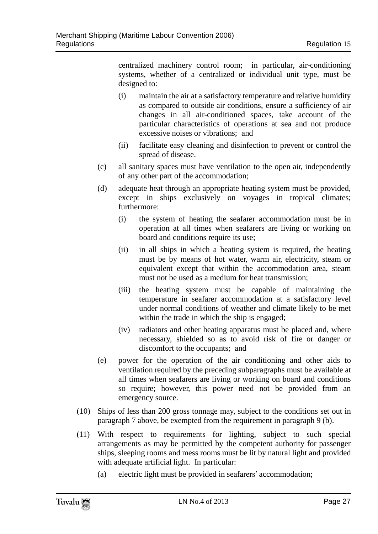centralized machinery control room; in particular, air-conditioning systems, whether of a centralized or individual unit type, must be designed to:

- (i) maintain the air at a satisfactory temperature and relative humidity as compared to outside air conditions, ensure a sufficiency of air changes in all air-conditioned spaces, take account of the particular characteristics of operations at sea and not produce excessive noises or vibrations; and
- (ii) facilitate easy cleaning and disinfection to prevent or control the spread of disease.
- (c) all sanitary spaces must have ventilation to the open air, independently of any other part of the accommodation;
- (d) adequate heat through an appropriate heating system must be provided, except in ships exclusively on voyages in tropical climates; furthermore:
	- (i) the system of heating the seafarer accommodation must be in operation at all times when seafarers are living or working on board and conditions require its use;
	- (ii) in all ships in which a heating system is required, the heating must be by means of hot water, warm air, electricity, steam or equivalent except that within the accommodation area, steam must not be used as a medium for heat transmission;
	- (iii) the heating system must be capable of maintaining the temperature in seafarer accommodation at a satisfactory level under normal conditions of weather and climate likely to be met within the trade in which the ship is engaged;
	- (iv) radiators and other heating apparatus must be placed and, where necessary, shielded so as to avoid risk of fire or danger or discomfort to the occupants; and
- (e) power for the operation of the air conditioning and other aids to ventilation required by the preceding subparagraphs must be available at all times when seafarers are living or working on board and conditions so require; however, this power need not be provided from an emergency source.
- (10) Ships of less than 200 gross tonnage may, subject to the conditions set out in paragraph 7 above, be exempted from the requirement in paragraph 9 (b).
- (11) With respect to requirements for lighting, subject to such special arrangements as may be permitted by the competent authority for passenger ships, sleeping rooms and mess rooms must be lit by natural light and provided with adequate artificial light. In particular:
	- (a) electric light must be provided in seafarers' accommodation;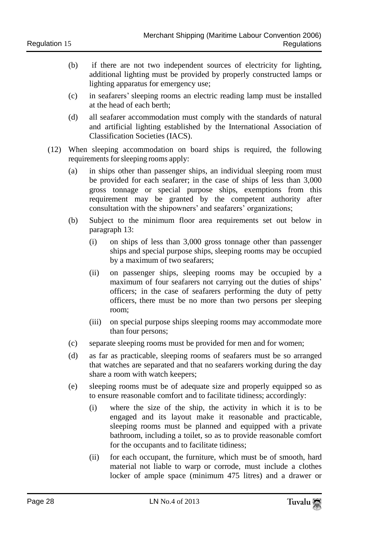- (b) if there are not two independent sources of electricity for lighting, additional lighting must be provided by properly constructed lamps or lighting apparatus for emergency use;
- (c) in seafarers' sleeping rooms an electric reading lamp must be installed at the head of each berth;
- (d) all seafarer accommodation must comply with the standards of natural and artificial lighting established by the International Association of Classification Societies (IACS).
- (12) When sleeping accommodation on board ships is required, the following requirements forsleeping rooms apply:
	- (a) in ships other than passenger ships, an individual sleeping room must be provided for each seafarer; in the case of ships of less than 3,000 gross tonnage or special purpose ships, exemptions from this requirement may be granted by the competent authority after consultation with the shipowners' and seafarers' organizations;
	- (b) Subject to the minimum floor area requirements set out below in paragraph 13:
		- (i) on ships of less than 3,000 gross tonnage other than passenger ships and special purpose ships, sleeping rooms may be occupied by a maximum of two seafarers;
		- (ii) on passenger ships, sleeping rooms may be occupied by a maximum of four seafarers not carrying out the duties of ships' officers; in the case of seafarers performing the duty of petty officers, there must be no more than two persons per sleeping room;
		- (iii) on special purpose ships sleeping rooms may accommodate more than four persons;
	- (c) separate sleeping rooms must be provided for men and for women;
	- (d) as far as practicable, sleeping rooms of seafarers must be so arranged that watches are separated and that no seafarers working during the day share a room with watch keepers;
	- (e) sleeping rooms must be of adequate size and properly equipped so as to ensure reasonable comfort and to facilitate tidiness; accordingly:
		- (i) where the size of the ship, the activity in which it is to be engaged and its layout make it reasonable and practicable, sleeping rooms must be planned and equipped with a private bathroom, including a toilet, so as to provide reasonable comfort for the occupants and to facilitate tidiness;
		- (ii) for each occupant, the furniture, which must be of smooth, hard material not liable to warp or corrode, must include a clothes locker of ample space (minimum 475 litres) and a drawer or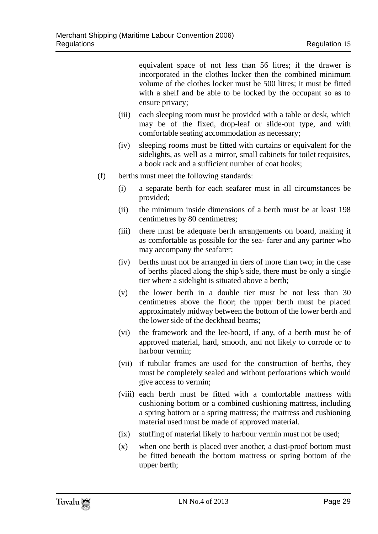equivalent space of not less than 56 litres; if the drawer is incorporated in the clothes locker then the combined minimum volume of the clothes locker must be 500 litres; it must be fitted with a shelf and be able to be locked by the occupant so as to ensure privacy;

- (iii) each sleeping room must be provided with a table or desk, which may be of the fixed, drop-leaf or slide-out type, and with comfortable seating accommodation as necessary;
- (iv) sleeping rooms must be fitted with curtains or equivalent for the sidelights, as well as a mirror, small cabinets for toilet requisites, a book rack and a sufficient number of coat hooks;
- (f) berths must meet the following standards:
	- (i) a separate berth for each seafarer must in all circumstances be provided;
	- (ii) the minimum inside dimensions of a berth must be at least 198 centimetres by 80 centimetres;
	- (iii) there must be adequate berth arrangements on board, making it as comfortable as possible for the sea- farer and any partner who may accompany the seafarer;
	- (iv) berths must not be arranged in tiers of more than two; in the case of berths placed along the ship's side, there must be only a single tier where a sidelight is situated above a berth;
	- (v) the lower berth in a double tier must be not less than 30 centimetres above the floor; the upper berth must be placed approximately midway between the bottom of the lower berth and the lower side of the deckhead beams;
	- (vi) the framework and the lee-board, if any, of a berth must be of approved material, hard, smooth, and not likely to corrode or to harbour vermin;
	- (vii) if tubular frames are used for the construction of berths, they must be completely sealed and without perforations which would give access to vermin;
	- (viii) each berth must be fitted with a comfortable mattress with cushioning bottom or a combined cushioning mattress, including a spring bottom or a spring mattress; the mattress and cushioning material used must be made of approved material.
	- (ix) stuffing of material likely to harbour vermin must not be used;
	- (x) when one berth is placed over another, a dust-proof bottom must be fitted beneath the bottom mattress or spring bottom of the upper berth;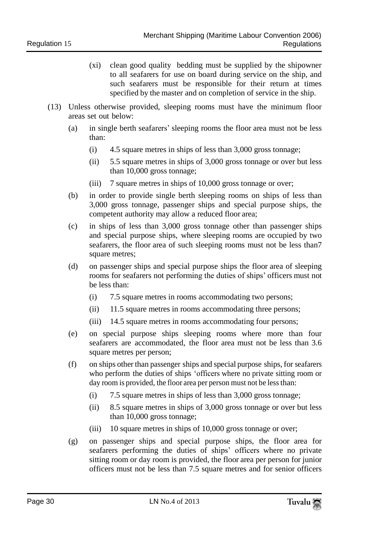- (xi) clean good quality bedding must be supplied by the shipowner to all seafarers for use on board during service on the ship, and such seafarers must be responsible for their return at times specified by the master and on completion of service in the ship.
- (13) Unless otherwise provided, sleeping rooms must have the minimum floor areas set out below:
	- (a) in single berth seafarers' sleeping rooms the floor area must not be less than:
		- (i) 4.5 square metres in ships of less than 3,000 gross tonnage;
		- (ii) 5.5 square metres in ships of 3,000 gross tonnage or over but less than 10,000 gross tonnage;
		- (iii) 7 square metres in ships of 10,000 gross tonnage or over;
	- (b) in order to provide single berth sleeping rooms on ships of less than 3,000 gross tonnage, passenger ships and special purpose ships, the competent authority may allow a reduced floor area;
	- (c) in ships of less than 3,000 gross tonnage other than passenger ships and special purpose ships, where sleeping rooms are occupied by two seafarers, the floor area of such sleeping rooms must not be less than7 square metres;
	- (d) on passenger ships and special purpose ships the floor area of sleeping rooms for seafarers not performing the duties of ships' officers must not be less than:
		- (i) 7.5 square metres in rooms accommodating two persons;
		- (ii) 11.5 square metres in rooms accommodating three persons;
		- (iii) 14.5 square metres in rooms accommodating four persons;
	- (e) on special purpose ships sleeping rooms where more than four seafarers are accommodated, the floor area must not be less than 3.6 square metres per person;
	- (f) on ships other than passenger ships and special purpose ships, for seafarers who perform the duties of ships 'officers where no private sitting room or day room is provided, the floor area per person must not be less than:
		- (i) 7.5 square metres in ships of less than 3,000 gross tonnage;
		- (ii) 8.5 square metres in ships of 3,000 gross tonnage or over but less than 10,000 gross tonnage;
		- (iii) 10 square metres in ships of 10,000 gross tonnage or over;
	- (g) on passenger ships and special purpose ships, the floor area for seafarers performing the duties of ships' officers where no private sitting room or day room is provided, the floor area per person for junior officers must not be less than 7.5 square metres and for senior officers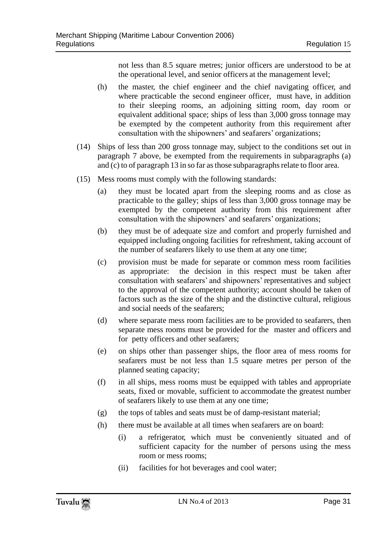not less than 8.5 square metres; junior officers are understood to be at the operational level, and senior officers at the management level;

- (h) the master, the chief engineer and the chief navigating officer, and where practicable the second engineer officer, must have, in addition to their sleeping rooms, an adjoining sitting room, day room or equivalent additional space; ships of less than 3,000 gross tonnage may be exempted by the competent authority from this requirement after consultation with the shipowners' and seafarers' organizations;
- (14) Ships of less than 200 gross tonnage may, subject to the conditions set out in paragraph 7 above, be exempted from the requirements in subparagraphs (a) and (c) to of paragraph 13 in so far as those subparagraphs relate to floor area.
- (15) Mess rooms must comply with the following standards:
	- (a) they must be located apart from the sleeping rooms and as close as practicable to the galley; ships of less than 3,000 gross tonnage may be exempted by the competent authority from this requirement after consultation with the shipowners' and seafarers' organizations;
	- (b) they must be of adequate size and comfort and properly furnished and equipped including ongoing facilities for refreshment, taking account of the number of seafarers likely to use them at any one time;
	- (c) provision must be made for separate or common mess room facilities as appropriate: the decision in this respect must be taken after consultation with seafarers' and shipowners' representatives and subject to the approval of the competent authority; account should be taken of factors such as the size of the ship and the distinctive cultural, religious and social needs of the seafarers;
	- (d) where separate mess room facilities are to be provided to seafarers, then separate mess rooms must be provided for the master and officers and for petty officers and other seafarers;
	- (e) on ships other than passenger ships, the floor area of mess rooms for seafarers must be not less than 1.5 square metres per person of the planned seating capacity;
	- (f) in all ships, mess rooms must be equipped with tables and appropriate seats, fixed or movable, sufficient to accommodate the greatest number of seafarers likely to use them at any one time;
	- (g) the tops of tables and seats must be of damp-resistant material;
	- (h) there must be available at all times when seafarers are on board:
		- (i) a refrigerator, which must be conveniently situated and of sufficient capacity for the number of persons using the mess room or mess rooms;
		- (ii) facilities for hot beverages and cool water;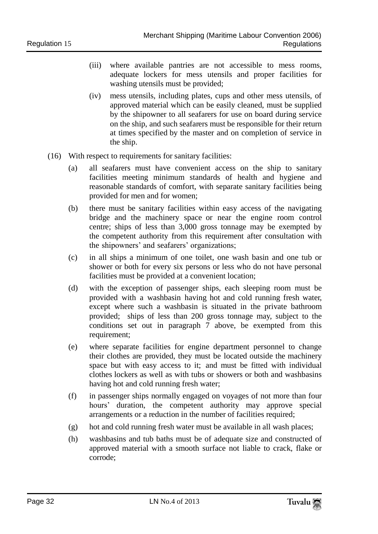- (iii) where available pantries are not accessible to mess rooms, adequate lockers for mess utensils and proper facilities for washing utensils must be provided;
- (iv) mess utensils, including plates, cups and other mess utensils, of approved material which can be easily cleaned, must be supplied by the shipowner to all seafarers for use on board during service on the ship, and such seafarers must be responsible for their return at times specified by the master and on completion of service in the ship.
- (16) With respect to requirements for sanitary facilities:
	- (a) all seafarers must have convenient access on the ship to sanitary facilities meeting minimum standards of health and hygiene and reasonable standards of comfort, with separate sanitary facilities being provided for men and for women;
	- (b) there must be sanitary facilities within easy access of the navigating bridge and the machinery space or near the engine room control centre; ships of less than 3,000 gross tonnage may be exempted by the competent authority from this requirement after consultation with the shipowners' and seafarers' organizations;
	- (c) in all ships a minimum of one toilet, one wash basin and one tub or shower or both for every six persons or less who do not have personal facilities must be provided at a convenient location;
	- (d) with the exception of passenger ships, each sleeping room must be provided with a washbasin having hot and cold running fresh water, except where such a washbasin is situated in the private bathroom provided; ships of less than 200 gross tonnage may, subject to the conditions set out in paragraph 7 above, be exempted from this requirement;
	- (e) where separate facilities for engine department personnel to change their clothes are provided, they must be located outside the machinery space but with easy access to it; and must be fitted with individual clothes lockers as well as with tubs or showers or both and washbasins having hot and cold running fresh water;
	- (f) in passenger ships normally engaged on voyages of not more than four hours' duration, the competent authority may approve special arrangements or a reduction in the number of facilities required;
	- (g) hot and cold running fresh water must be available in all wash places;
	- (h) washbasins and tub baths must be of adequate size and constructed of approved material with a smooth surface not liable to crack, flake or corrode;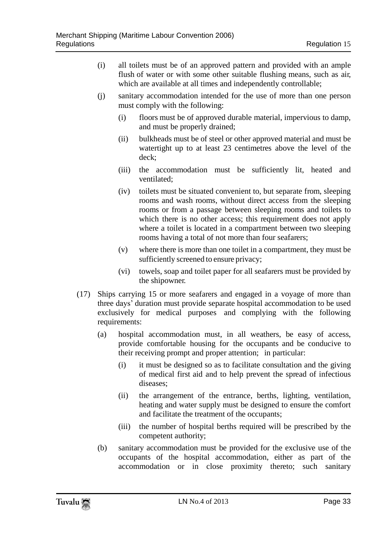- (i) all toilets must be of an approved pattern and provided with an ample flush of water or with some other suitable flushing means, such as air, which are available at all times and independently controllable;
- (j) sanitary accommodation intended for the use of more than one person must comply with the following:
	- (i) floors must be of approved durable material, impervious to damp, and must be properly drained;
	- (ii) bulkheads must be of steel or other approved material and must be watertight up to at least 23 centimetres above the level of the deck;
	- (iii) the accommodation must be sufficiently lit, heated and ventilated;
	- (iv) toilets must be situated convenient to, but separate from, sleeping rooms and wash rooms, without direct access from the sleeping rooms or from a passage between sleeping rooms and toilets to which there is no other access; this requirement does not apply where a toilet is located in a compartment between two sleeping rooms having a total of not more than four seafarers;
	- (v) where there is more than one toilet in a compartment, they must be sufficiently screened to ensure privacy;
	- (vi) towels, soap and toilet paper for all seafarers must be provided by the shipowner.
- (17) Ships carrying 15 or more seafarers and engaged in a voyage of more than three days' duration must provide separate hospital accommodation to be used exclusively for medical purposes and complying with the following requirements:
	- (a) hospital accommodation must, in all weathers, be easy of access, provide comfortable housing for the occupants and be conducive to their receiving prompt and proper attention; in particular:
		- (i) it must be designed so as to facilitate consultation and the giving of medical first aid and to help prevent the spread of infectious diseases;
		- (ii) the arrangement of the entrance, berths, lighting, ventilation, heating and water supply must be designed to ensure the comfort and facilitate the treatment of the occupants;
		- (iii) the number of hospital berths required will be prescribed by the competent authority;
	- (b) sanitary accommodation must be provided for the exclusive use of the occupants of the hospital accommodation, either as part of the accommodation or in close proximity thereto; such sanitary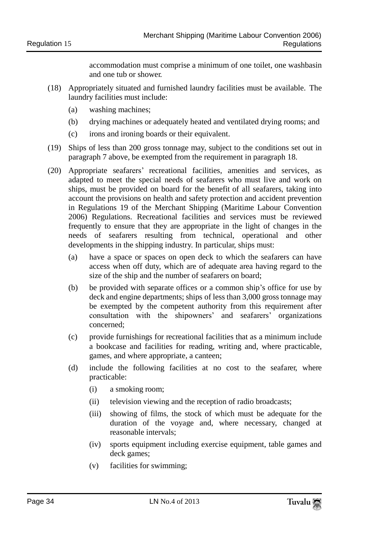accommodation must comprise a minimum of one toilet, one washbasin and one tub or shower.

- (18) Appropriately situated and furnished laundry facilities must be available. The laundry facilities must include:
	- (a) washing machines;
	- (b) drying machines or adequately heated and ventilated drying rooms; and
	- (c) irons and ironing boards or their equivalent.
- (19) Ships of less than 200 gross tonnage may, subject to the conditions set out in paragraph 7 above, be exempted from the requirement in paragraph 18.
- (20) Appropriate seafarers' recreational facilities, amenities and services, as adapted to meet the special needs of seafarers who must live and work on ships, must be provided on board for the benefit of all seafarers, taking into account the provisions on health and safety protection and accident prevention in Regulations 19 of the Merchant Shipping (Maritime Labour Convention 2006) Regulations. Recreational facilities and services must be reviewed frequently to ensure that they are appropriate in the light of changes in the needs of seafarers resulting from technical, operational and other developments in the shipping industry. In particular, ships must:
	- (a) have a space or spaces on open deck to which the seafarers can have access when off duty, which are of adequate area having regard to the size of the ship and the number of seafarers on board;
	- (b) be provided with separate offices or a common ship's office for use by deck and engine departments; ships of less than 3,000 gross tonnage may be exempted by the competent authority from this requirement after consultation with the shipowners' and seafarers' organizations concerned;
	- (c) provide furnishings for recreational facilities that as a minimum include a bookcase and facilities for reading, writing and, where practicable, games, and where appropriate, a canteen;
	- (d) include the following facilities at no cost to the seafarer, where practicable:
		- (i) a smoking room;
		- (ii) television viewing and the reception of radio broadcasts;
		- (iii) showing of films, the stock of which must be adequate for the duration of the voyage and, where necessary, changed at reasonable intervals;
		- (iv) sports equipment including exercise equipment, table games and deck games;
		- (v) facilities for swimming;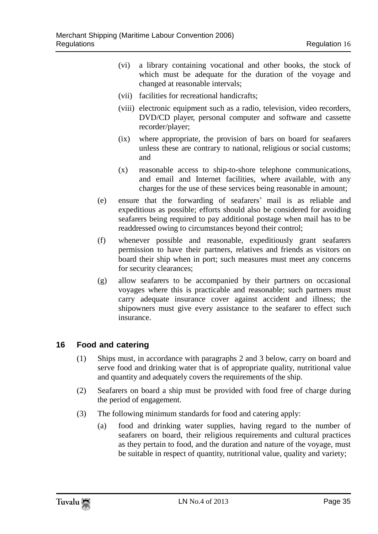- (vi) a library containing vocational and other books, the stock of which must be adequate for the duration of the voyage and changed at reasonable intervals;
- (vii) facilities for recreational handicrafts;
- (viii) electronic equipment such as a radio, television, video recorders, DVD/CD player, personal computer and software and cassette recorder/player;
- (ix) where appropriate, the provision of bars on board for seafarers unless these are contrary to national, religious or social customs; and
- (x) reasonable access to ship-to-shore telephone communications, and email and Internet facilities, where available, with any charges for the use of these services being reasonable in amount;
- (e) ensure that the forwarding of seafarers' mail is as reliable and expeditious as possible; efforts should also be considered for avoiding seafarers being required to pay additional postage when mail has to be readdressed owing to circumstances beyond their control;
- (f) whenever possible and reasonable, expeditiously grant seafarers permission to have their partners, relatives and friends as visitors on board their ship when in port; such measures must meet any concerns for security clearances;
- (g) allow seafarers to be accompanied by their partners on occasional voyages where this is practicable and reasonable; such partners must carry adequate insurance cover against accident and illness; the shipowners must give every assistance to the seafarer to effect such insurance.

#### <span id="page-34-0"></span>**16 Food and catering**

- (1) Ships must, in accordance with paragraphs 2 and 3 below, carry on board and serve food and drinking water that is of appropriate quality, nutritional value and quantity and adequately covers the requirements of the ship.
- (2) Seafarers on board a ship must be provided with food free of charge during the period of engagement.
- (3) The following minimum standards for food and catering apply:
	- (a) food and drinking water supplies, having regard to the number of seafarers on board, their religious requirements and cultural practices as they pertain to food, and the duration and nature of the voyage, must be suitable in respect of quantity, nutritional value, quality and variety;

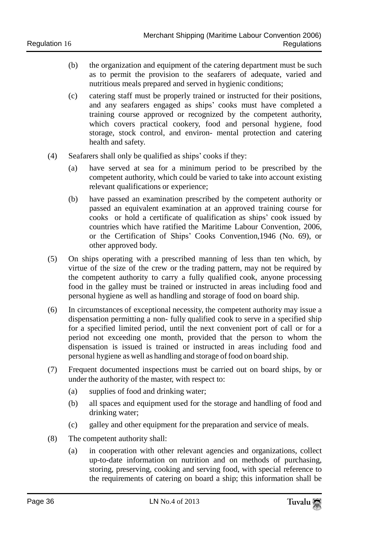- (b) the organization and equipment of the catering department must be such as to permit the provision to the seafarers of adequate, varied and nutritious meals prepared and served in hygienic conditions;
- (c) catering staff must be properly trained or instructed for their positions, and any seafarers engaged as ships' cooks must have completed a training course approved or recognized by the competent authority, which covers practical cookery, food and personal hygiene, food storage, stock control, and environ- mental protection and catering health and safety.
- (4) Seafarers shall only be qualified as ships' cooks if they:
	- (a) have served at sea for a minimum period to be prescribed by the competent authority, which could be varied to take into account existing relevant qualifications or experience;
	- (b) have passed an examination prescribed by the competent authority or passed an equivalent examination at an approved training course for cooks or hold a certificate of qualification as ships' cook issued by countries which have ratified the Maritime Labour Convention, 2006, or the Certification of Ships' Cooks Convention,1946 (No. 69), or other approved body.
- (5) On ships operating with a prescribed manning of less than ten which, by virtue of the size of the crew or the trading pattern, may not be required by the competent authority to carry a fully qualified cook, anyone processing food in the galley must be trained or instructed in areas including food and personal hygiene as well as handling and storage of food on board ship.
- (6) In circumstances of exceptional necessity, the competent authority may issue a dispensation permitting a non- fully qualified cook to serve in a specified ship for a specified limited period, until the next convenient port of call or for a period not exceeding one month, provided that the person to whom the dispensation is issued is trained or instructed in areas including food and personal hygiene as well as handling and storage of food on board ship.
- (7) Frequent documented inspections must be carried out on board ships, by or under the authority of the master, with respect to:
	- (a) supplies of food and drinking water;
	- (b) all spaces and equipment used for the storage and handling of food and drinking water;
	- (c) galley and other equipment for the preparation and service of meals.
- (8) The competent authority shall:
	- (a) in cooperation with other relevant agencies and organizations, collect up-to-date information on nutrition and on methods of purchasing, storing, preserving, cooking and serving food, with special reference to the requirements of catering on board a ship; this information shall be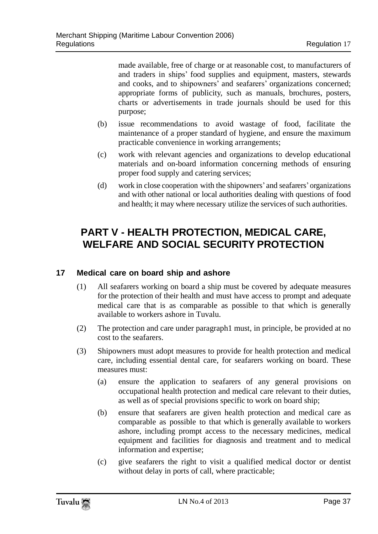made available, free of charge or at reasonable cost, to manufacturers of and traders in ships' food supplies and equipment, masters, stewards and cooks, and to shipowners<sup>7</sup> and seafarers<sup>7</sup> organizations concerned; appropriate forms of publicity, such as manuals, brochures, posters, charts or advertisements in trade journals should be used for this purpose;

- (b) issue recommendations to avoid wastage of food, facilitate the maintenance of a proper standard of hygiene, and ensure the maximum practicable convenience in working arrangements;
- (c) work with relevant agencies and organizations to develop educational materials and on-board information concerning methods of ensuring proper food supply and catering services;
- (d) work in close cooperation with the shipowners' and seafarers' organizations and with other national or local authorities dealing with questions of food and health; it may where necessary utilize the services of such authorities.

# **PART V - HEALTH PROTECTION, MEDICAL CARE, WELFARE AND SOCIAL SECURITY PROTECTION**

## **17 Medical care on board ship and ashore**

- (1) All seafarers working on board a ship must be covered by adequate measures for the protection of their health and must have access to prompt and adequate medical care that is as comparable as possible to that which is generally available to workers ashore in Tuvalu.
- (2) The protection and care under paragraph1 must, in principle, be provided at no cost to the seafarers.
- (3) Shipowners must adopt measures to provide for health protection and medical care, including essential dental care, for seafarers working on board. These measures must:
	- (a) ensure the application to seafarers of any general provisions on occupational health protection and medical care relevant to their duties, as well as of special provisions specific to work on board ship;
	- (b) ensure that seafarers are given health protection and medical care as comparable as possible to that which is generally available to workers ashore, including prompt access to the necessary medicines, medical equipment and facilities for diagnosis and treatment and to medical information and expertise;
	- (c) give seafarers the right to visit a qualified medical doctor or dentist without delay in ports of call, where practicable;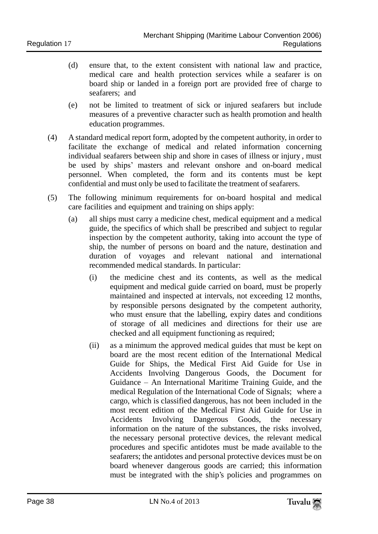- (d) ensure that, to the extent consistent with national law and practice, medical care and health protection services while a seafarer is on board ship or landed in a foreign port are provided free of charge to seafarers; and
- (e) not be limited to treatment of sick or injured seafarers but include measures of a preventive character such as health promotion and health education programmes.
- (4) A standard medical report form, adopted by the competent authority, in order to facilitate the exchange of medical and related information concerning individual seafarers between ship and shore in cases of illness or injury , must be used by ships' masters and relevant onshore and on-board medical personnel. When completed, the form and its contents must be kept confidential and must only be used to facilitate the treatment of seafarers.
- (5) The following minimum requirements for on-board hospital and medical care facilities and equipment and training on ships apply:
	- (a) all ships must carry a medicine chest, medical equipment and a medical guide, the specifics of which shall be prescribed and subject to regular inspection by the competent authority, taking into account the type of ship, the number of persons on board and the nature, destination and duration of voyages and relevant national and international recommended medical standards. In particular:
		- (i) the medicine chest and its contents, as well as the medical equipment and medical guide carried on board, must be properly maintained and inspected at intervals, not exceeding 12 months, by responsible persons designated by the competent authority, who must ensure that the labelling, expiry dates and conditions of storage of all medicines and directions for their use are checked and all equipment functioning as required;
		- (ii) as a minimum the approved medical guides that must be kept on board are the most recent edition of the International Medical Guide for Ships, the Medical First Aid Guide for Use in Accidents Involving Dangerous Goods, the Document for Guidance – An International Maritime Training Guide, and the medical Regulation of the International Code of Signals; where a cargo, which is classified dangerous, has not been included in the most recent edition of the Medical First Aid Guide for Use in Accidents Involving Dangerous Goods, the necessary information on the nature of the substances, the risks involved, the necessary personal protective devices, the relevant medical procedures and specific antidotes must be made available to the seafarers; the antidotes and personal protective devices must be on board whenever dangerous goods are carried; this information must be integrated with the ship's policies and programmes on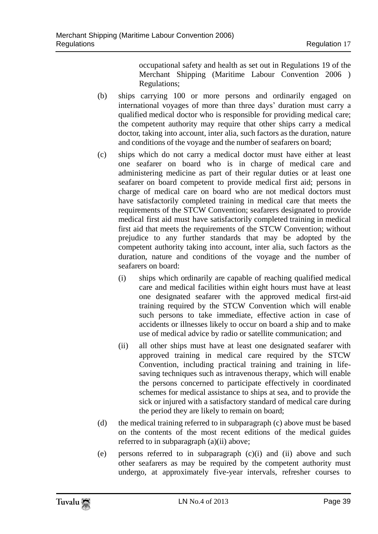occupational safety and health as set out in Regulations 19 of the Merchant Shipping (Maritime Labour Convention 2006 ) Regulations;

- (b) ships carrying 100 or more persons and ordinarily engaged on international voyages of more than three days' duration must carry a qualified medical doctor who is responsible for providing medical care; the competent authority may require that other ships carry a medical doctor, taking into account, inter alia, such factors as the duration, nature and conditions of the voyage and the number of seafarers on board;
- (c) ships which do not carry a medical doctor must have either at least one seafarer on board who is in charge of medical care and administering medicine as part of their regular duties or at least one seafarer on board competent to provide medical first aid; persons in charge of medical care on board who are not medical doctors must have satisfactorily completed training in medical care that meets the requirements of the STCW Convention; seafarers designated to provide medical first aid must have satisfactorily completed training in medical first aid that meets the requirements of the STCW Convention; without prejudice to any further standards that may be adopted by the competent authority taking into account, inter alia, such factors as the duration, nature and conditions of the voyage and the number of seafarers on board:
	- (i) ships which ordinarily are capable of reaching qualified medical care and medical facilities within eight hours must have at least one designated seafarer with the approved medical first-aid training required by the STCW Convention which will enable such persons to take immediate, effective action in case of accidents or illnesses likely to occur on board a ship and to make use of medical advice by radio or satellite communication; and
	- (ii) all other ships must have at least one designated seafarer with approved training in medical care required by the STCW Convention, including practical training and training in lifesaving techniques such as intravenous therapy, which will enable the persons concerned to participate effectively in coordinated schemes for medical assistance to ships at sea, and to provide the sick or injured with a satisfactory standard of medical care during the period they are likely to remain on board;
- (d) the medical training referred to in subparagraph (c) above must be based on the contents of the most recent editions of the medical guides referred to in subparagraph (a)(ii) above;
- (e) persons referred to in subparagraph (c)(i) and (ii) above and such other seafarers as may be required by the competent authority must undergo, at approximately five-year intervals, refresher courses to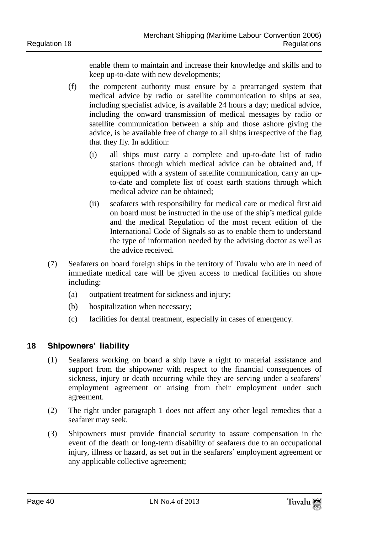enable them to maintain and increase their knowledge and skills and to keep up-to-date with new developments;

- (f) the competent authority must ensure by a prearranged system that medical advice by radio or satellite communication to ships at sea, including specialist advice, is available 24 hours a day; medical advice, including the onward transmission of medical messages by radio or satellite communication between a ship and those ashore giving the advice, is be available free of charge to all ships irrespective of the flag that they fly. In addition:
	- (i) all ships must carry a complete and up-to-date list of radio stations through which medical advice can be obtained and, if equipped with a system of satellite communication, carry an upto-date and complete list of coast earth stations through which medical advice can be obtained;
	- (ii) seafarers with responsibility for medical care or medical first aid on board must be instructed in the use of the ship's medical guide and the medical Regulation of the most recent edition of the International Code of Signals so as to enable them to understand the type of information needed by the advising doctor as well as the advice received.
- (7) Seafarers on board foreign ships in the territory of Tuvalu who are in need of immediate medical care will be given access to medical facilities on shore including:
	- (a) outpatient treatment for sickness and injury;
	- (b) hospitalization when necessary;
	- (c) facilities for dental treatment, especially in cases of emergency.

## **18 Shipowners' liability**

- (1) Seafarers working on board a ship have a right to material assistance and support from the shipowner with respect to the financial consequences of sickness, injury or death occurring while they are serving under a seafarers' employment agreement or arising from their employment under such agreement.
- (2) The right under paragraph 1 does not affect any other legal remedies that a seafarer may seek.
- (3) Shipowners must provide financial security to assure compensation in the event of the death or long-term disability of seafarers due to an occupational injury, illness or hazard, as set out in the seafarers' employment agreement or any applicable collective agreement;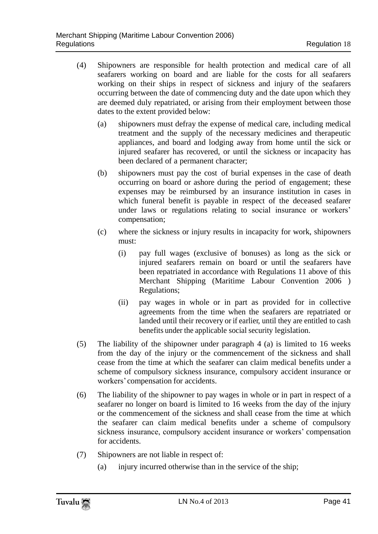- (4) Shipowners are responsible for health protection and medical care of all seafarers working on board and are liable for the costs for all seafarers working on their ships in respect of sickness and injury of the seafarers occurring between the date of commencing duty and the date upon which they are deemed duly repatriated, or arising from their employment between those dates to the extent provided below:
	- (a) shipowners must defray the expense of medical care, including medical treatment and the supply of the necessary medicines and therapeutic appliances, and board and lodging away from home until the sick or injured seafarer has recovered, or until the sickness or incapacity has been declared of a permanent character;
	- (b) shipowners must pay the cost of burial expenses in the case of death occurring on board or ashore during the period of engagement; these expenses may be reimbursed by an insurance institution in cases in which funeral benefit is payable in respect of the deceased seafarer under laws or regulations relating to social insurance or workers' compensation;
	- (c) where the sickness or injury results in incapacity for work, shipowners must:
		- (i) pay full wages (exclusive of bonuses) as long as the sick or injured seafarers remain on board or until the seafarers have been repatriated in accordance with Regulations 11 above of this Merchant Shipping (Maritime Labour Convention 2006 ) Regulations;
		- (ii) pay wages in whole or in part as provided for in collective agreements from the time when the seafarers are repatriated or landed until their recovery or if earlier, until they are entitled to cash benefits under the applicable social security legislation.
- (5) The liability of the shipowner under paragraph 4 (a) is limited to 16 weeks from the day of the injury or the commencement of the sickness and shall cease from the time at which the seafarer can claim medical benefits under a scheme of compulsory sickness insurance, compulsory accident insurance or workers' compensation for accidents.
- (6) The liability of the shipowner to pay wages in whole or in part in respect of a seafarer no longer on board is limited to 16 weeks from the day of the injury or the commencement of the sickness and shall cease from the time at which the seafarer can claim medical benefits under a scheme of compulsory sickness insurance, compulsory accident insurance or workers' compensation for accidents.
- (7) Shipowners are not liable in respect of:
	- (a) injury incurred otherwise than in the service of the ship;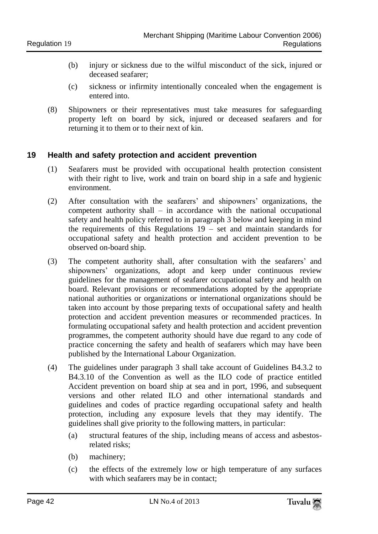- (b) injury or sickness due to the wilful misconduct of the sick, injured or deceased seafarer;
- (c) sickness or infirmity intentionally concealed when the engagement is entered into.
- (8) Shipowners or their representatives must take measures for safeguarding property left on board by sick, injured or deceased seafarers and for returning it to them or to their next of kin.

### **19 Health and safety protection and accident prevention**

- (1) Seafarers must be provided with occupational health protection consistent with their right to live, work and train on board ship in a safe and hygienic environment.
- (2) After consultation with the seafarers' and shipowners' organizations, the competent authority shall – in accordance with the national occupational safety and health policy referred to in paragraph 3 below and keeping in mind the requirements of this Regulations  $19 - set$  and maintain standards for occupational safety and health protection and accident prevention to be observed on-board ship.
- (3) The competent authority shall, after consultation with the seafarers' and shipowners' organizations, adopt and keep under continuous review guidelines for the management of seafarer occupational safety and health on board. Relevant provisions or recommendations adopted by the appropriate national authorities or organizations or international organizations should be taken into account by those preparing texts of occupational safety and health protection and accident prevention measures or recommended practices. In formulating occupational safety and health protection and accident prevention programmes, the competent authority should have due regard to any code of practice concerning the safety and health of seafarers which may have been published by the International Labour Organization.
- (4) The guidelines under paragraph 3 shall take account of Guidelines B4.3.2 to B4.3.10 of the Convention as well as the ILO code of practice entitled Accident prevention on board ship at sea and in port, 1996, and subsequent versions and other related ILO and other international standards and guidelines and codes of practice regarding occupational safety and health protection, including any exposure levels that they may identify. The guidelines shall give priority to the following matters, in particular:
	- (a) structural features of the ship, including means of access and asbestosrelated risks;
	- (b) machinery;
	- (c) the effects of the extremely low or high temperature of any surfaces with which seafarers may be in contact;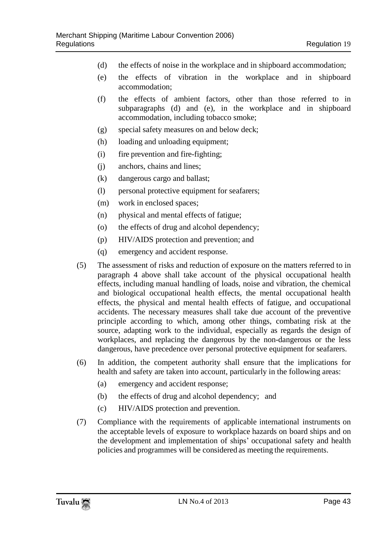- (d) the effects of noise in the workplace and in shipboard accommodation;
- (e) the effects of vibration in the workplace and in shipboard accommodation;
- (f) the effects of ambient factors, other than those referred to in subparagraphs (d) and (e), in the workplace and in shipboard accommodation, including tobacco smoke;
- (g) special safety measures on and below deck;
- (h) loading and unloading equipment;
- (i) fire prevention and fire-fighting;
- (j) anchors, chains and lines;
- (k) dangerous cargo and ballast;
- (l) personal protective equipment for seafarers;
- (m) work in enclosed spaces;
- (n) physical and mental effects of fatigue;
- (o) the effects of drug and alcohol dependency;
- (p) HIV/AIDS protection and prevention; and
- (q) emergency and accident response.
- (5) The assessment of risks and reduction of exposure on the matters referred to in paragraph 4 above shall take account of the physical occupational health effects, including manual handling of loads, noise and vibration, the chemical and biological occupational health effects, the mental occupational health effects, the physical and mental health effects of fatigue, and occupational accidents. The necessary measures shall take due account of the preventive principle according to which, among other things, combating risk at the source, adapting work to the individual, especially as regards the design of workplaces, and replacing the dangerous by the non-dangerous or the less dangerous, have precedence over personal protective equipment for seafarers.
- (6) In addition, the competent authority shall ensure that the implications for health and safety are taken into account, particularly in the following areas:
	- (a) emergency and accident response;
	- (b) the effects of drug and alcohol dependency; and
	- (c) HIV/AIDS protection and prevention.
- (7) Compliance with the requirements of applicable international instruments on the acceptable levels of exposure to workplace hazards on board ships and on the development and implementation of ships' occupational safety and health policies and programmes will be considered as meeting the requirements.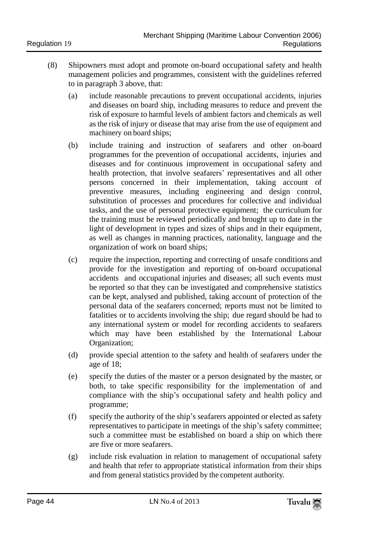- (8) Shipowners must adopt and promote on-board occupational safety and health management policies and programmes, consistent with the guidelines referred to in paragraph 3 above, that:
	- (a) include reasonable precautions to prevent occupational accidents, injuries and diseases on board ship, including measures to reduce and prevent the risk of exposure to harmful levels of ambient factors and chemicals as well asthe risk of injury or disease that may arise from the use of equipment and machinery on board ships;
	- (b) include training and instruction of seafarers and other on-board programmes for the prevention of occupational accidents, injuries and diseases and for continuous improvement in occupational safety and health protection, that involve seafarers' representatives and all other persons concerned in their implementation, taking account of preventive measures, including engineering and design control, substitution of processes and procedures for collective and individual tasks, and the use of personal protective equipment; the curriculum for the training must be reviewed periodically and brought up to date in the light of development in types and sizes of ships and in their equipment, as well as changes in manning practices, nationality, language and the organization of work on board ships;
	- (c) require the inspection, reporting and correcting of unsafe conditions and provide for the investigation and reporting of on-board occupational accidents and occupational injuries and diseases; all such events must be reported so that they can be investigated and comprehensive statistics can be kept, analysed and published, taking account of protection of the personal data of the seafarers concerned; reports must not be limited to fatalities or to accidents involving the ship; due regard should be had to any international system or model for recording accidents to seafarers which may have been established by the International Labour Organization;
	- (d) provide special attention to the safety and health of seafarers under the age of 18;
	- (e) specify the duties of the master or a person designated by the master, or both, to take specific responsibility for the implementation of and compliance with the ship's occupational safety and health policy and programme;
	- (f) specify the authority of the ship's seafarers appointed or elected as safety representatives to participate in meetings of the ship's safety committee; such a committee must be established on board a ship on which there are five or more seafarers.
	- (g) include risk evaluation in relation to management of occupational safety and health that refer to appropriate statistical information from their ships and from general statistics provided by the competent authority.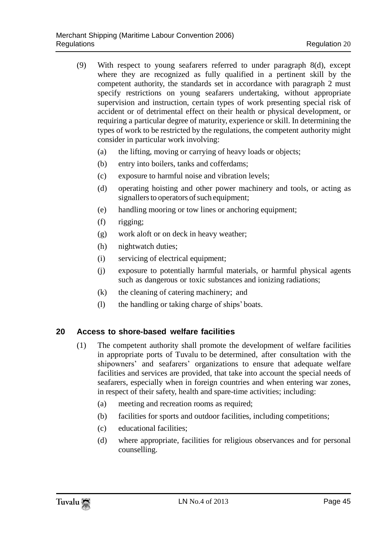- (9) With respect to young seafarers referred to under paragraph 8(d), except where they are recognized as fully qualified in a pertinent skill by the competent authority, the standards set in accordance with paragraph 2 must specify restrictions on young seafarers undertaking, without appropriate supervision and instruction, certain types of work presenting special risk of accident or of detrimental effect on their health or physical development, or requiring a particular degree of maturity, experience or skill. In determining the types of work to be restricted by the regulations, the competent authority might consider in particular work involving:
	- (a) the lifting, moving or carrying of heavy loads or objects;
	- (b) entry into boilers, tanks and cofferdams;
	- (c) exposure to harmful noise and vibration levels;
	- (d) operating hoisting and other power machinery and tools, or acting as signallers to operators of such equipment;
	- (e) handling mooring or tow lines or anchoring equipment;
	- (f) rigging;
	- (g) work aloft or on deck in heavy weather;
	- (h) nightwatch duties;
	- (i) servicing of electrical equipment;
	- (j) exposure to potentially harmful materials, or harmful physical agents such as dangerous or toxic substances and ionizing radiations;
	- (k) the cleaning of catering machinery; and
	- (l) the handling or taking charge of ships' boats.

#### **20 Access to shore-based welfare facilities**

- (1) The competent authority shall promote the development of welfare facilities in appropriate ports of Tuvalu to be determined, after consultation with the shipowners' and seafarers' organizations to ensure that adequate welfare facilities and services are provided, that take into account the special needs of seafarers, especially when in foreign countries and when entering war zones, in respect of their safety, health and spare-time activities; including:
	- (a) meeting and recreation rooms as required;
	- (b) facilities for sports and outdoor facilities, including competitions;
	- (c) educational facilities;
	- (d) where appropriate, facilities for religious observances and for personal counselling.

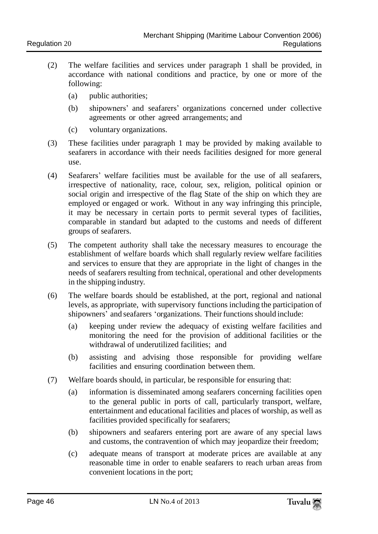- (2) The welfare facilities and services under paragraph 1 shall be provided, in accordance with national conditions and practice, by one or more of the following:
	- (a) public authorities;
	- (b) shipowners' and seafarers' organizations concerned under collective agreements or other agreed arrangements; and
	- (c) voluntary organizations.
- (3) These facilities under paragraph 1 may be provided by making available to seafarers in accordance with their needs facilities designed for more general use.
- (4) Seafarers' welfare facilities must be available for the use of all seafarers, irrespective of nationality, race, colour, sex, religion, political opinion or social origin and irrespective of the flag State of the ship on which they are employed or engaged or work. Without in any way infringing this principle, it may be necessary in certain ports to permit several types of facilities, comparable in standard but adapted to the customs and needs of different groups of seafarers.
- (5) The competent authority shall take the necessary measures to encourage the establishment of welfare boards which shall regularly review welfare facilities and services to ensure that they are appropriate in the light of changes in the needs of seafarers resulting from technical, operational and other developments in the shipping industry.
- (6) The welfare boards should be established, at the port, regional and national levels, as appropriate, with supervisory functions including the participation of shipowners' and seafarers 'organizations. Their functions should include:
	- (a) keeping under review the adequacy of existing welfare facilities and monitoring the need for the provision of additional facilities or the withdrawal of underutilized facilities; and
	- (b) assisting and advising those responsible for providing welfare facilities and ensuring coordination between them.
- (7) Welfare boards should, in particular, be responsible for ensuring that:
	- (a) information is disseminated among seafarers concerning facilities open to the general public in ports of call, particularly transport, welfare, entertainment and educational facilities and places of worship, as well as facilities provided specifically for seafarers;
	- (b) shipowners and seafarers entering port are aware of any special laws and customs, the contravention of which may jeopardize their freedom;
	- (c) adequate means of transport at moderate prices are available at any reasonable time in order to enable seafarers to reach urban areas from convenient locations in the port;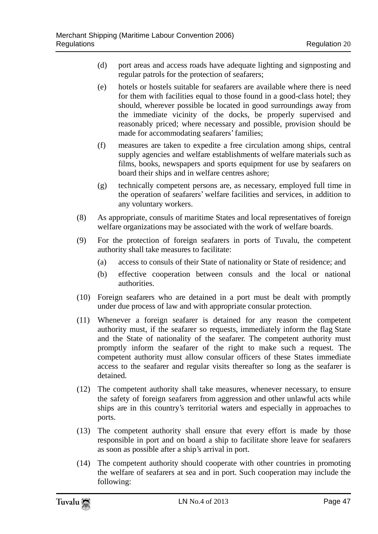- (d) port areas and access roads have adequate lighting and signposting and regular patrols for the protection of seafarers;
- (e) hotels or hostels suitable for seafarers are available where there is need for them with facilities equal to those found in a good-class hotel; they should, wherever possible be located in good surroundings away from the immediate vicinity of the docks, be properly supervised and reasonably priced; where necessary and possible, provision should be made for accommodating seafarers'families;
- (f) measures are taken to expedite a free circulation among ships, central supply agencies and welfare establishments of welfare materials such as films, books, newspapers and sports equipment for use by seafarers on board their ships and in welfare centres ashore;
- (g) technically competent persons are, as necessary, employed full time in the operation of seafarers' welfare facilities and services, in addition to any voluntary workers.
- (8) As appropriate, consuls of maritime States and local representatives of foreign welfare organizations may be associated with the work of welfare boards.
- (9) For the protection of foreign seafarers in ports of Tuvalu, the competent authority shall take measures to facilitate:
	- (a) access to consuls of their State of nationality or State of residence; and
	- (b) effective cooperation between consuls and the local or national authorities.
- (10) Foreign seafarers who are detained in a port must be dealt with promptly under due process of law and with appropriate consular protection.
- (11) Whenever a foreign seafarer is detained for any reason the competent authority must, if the seafarer so requests, immediately inform the flag State and the State of nationality of the seafarer. The competent authority must promptly inform the seafarer of the right to make such a request. The competent authority must allow consular officers of these States immediate access to the seafarer and regular visits thereafter so long as the seafarer is detained.
- (12) The competent authority shall take measures, whenever necessary, to ensure the safety of foreign seafarers from aggression and other unlawful acts while ships are in this country's territorial waters and especially in approaches to ports.
- (13) The competent authority shall ensure that every effort is made by those responsible in port and on board a ship to facilitate shore leave for seafarers as soon as possible after a ship's arrival in port.
- (14) The competent authority should cooperate with other countries in promoting the welfare of seafarers at sea and in port. Such cooperation may include the following: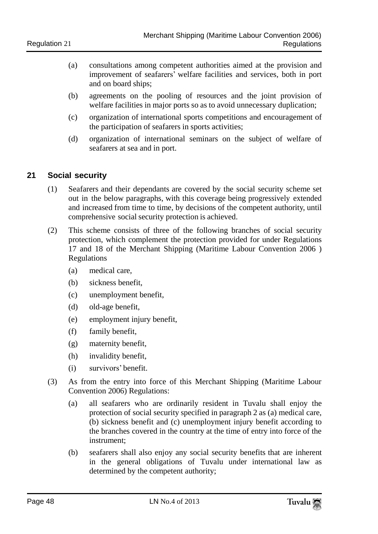- (a) consultations among competent authorities aimed at the provision and improvement of seafarers' welfare facilities and services, both in port and on board ships;
- (b) agreements on the pooling of resources and the joint provision of welfare facilities in major ports so as to avoid unnecessary duplication;
- (c) organization of international sports competitions and encouragement of the participation of seafarers in sports activities;
- (d) organization of international seminars on the subject of welfare of seafarers at sea and in port.

# **21 Social security**

- (1) Seafarers and their dependants are covered by the social security scheme set out in the below paragraphs, with this coverage being progressively extended and increased from time to time, by decisions of the competent authority, until comprehensive social security protection is achieved.
- (2) This scheme consists of three of the following branches of social security protection, which complement the protection provided for under Regulations 17 and 18 of the Merchant Shipping (Maritime Labour Convention 2006 ) Regulations
	- (a) medical care,
	- (b) sickness benefit,
	- (c) unemployment benefit,
	- (d) old-age benefit,
	- (e) employment injury benefit,
	- (f) family benefit,
	- (g) maternity benefit,
	- (h) invalidity benefit,
	- (i) survivors' benefit.
- (3) As from the entry into force of this Merchant Shipping (Maritime Labour Convention 2006) Regulations:
	- (a) all seafarers who are ordinarily resident in Tuvalu shall enjoy the protection of social security specified in paragraph 2 as (a) medical care, (b) sickness benefit and (c) unemployment injury benefit according to the branches covered in the country at the time of entry into force of the instrument;
	- (b) seafarers shall also enjoy any social security benefits that are inherent in the general obligations of Tuvalu under international law as determined by the competent authority;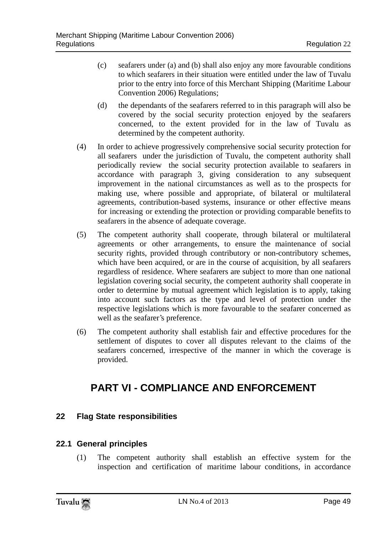- (c) seafarers under (a) and (b) shall also enjoy any more favourable conditions to which seafarers in their situation were entitled under the law of Tuvalu prior to the entry into force of this Merchant Shipping (Maritime Labour Convention 2006) Regulations;
- (d) the dependants of the seafarers referred to in this paragraph will also be covered by the social security protection enjoyed by the seafarers concerned, to the extent provided for in the law of Tuvalu as determined by the competent authority.
- (4) In order to achieve progressively comprehensive social security protection for all seafarers under the jurisdiction of Tuvalu, the competent authority shall periodically review the social security protection available to seafarers in accordance with paragraph 3, giving consideration to any subsequent improvement in the national circumstances as well as to the prospects for making use, where possible and appropriate, of bilateral or multilateral agreements, contribution-based systems, insurance or other effective means for increasing or extending the protection or providing comparable benefits to seafarers in the absence of adequate coverage.
- (5) The competent authority shall cooperate, through bilateral or multilateral agreements or other arrangements, to ensure the maintenance of social security rights, provided through contributory or non-contributory schemes, which have been acquired, or are in the course of acquisition, by all seafarers regardless of residence. Where seafarers are subject to more than one national legislation covering social security, the competent authority shall cooperate in order to determine by mutual agreement which legislation is to apply, taking into account such factors as the type and level of protection under the respective legislations which is more favourable to the seafarer concerned as well as the seafarer's preference.
- (6) The competent authority shall establish fair and effective procedures for the settlement of disputes to cover all disputes relevant to the claims of the seafarers concerned, irrespective of the manner in which the coverage is provided.

# **PART VI - COMPLIANCE AND ENFORCEMENT**

#### **22 Flag State responsibilities**

## **22.1 General principles**

(1) The competent authority shall establish an effective system for the inspection and certification of maritime labour conditions, in accordance

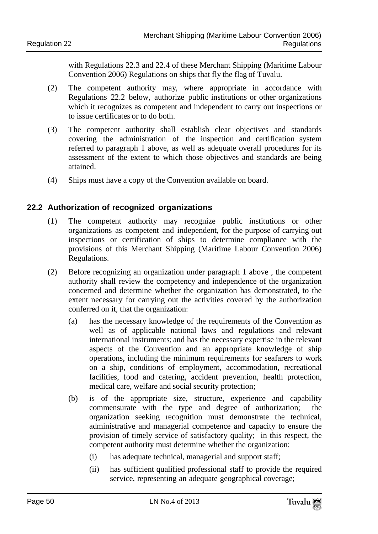with Regulations 22.3 and 22.4 of these Merchant Shipping (Maritime Labour Convention 2006) Regulations on ships that fly the flag of Tuvalu.

- (2) The competent authority may, where appropriate in accordance with Regulations 22.2 below, authorize public institutions or other organizations which it recognizes as competent and independent to carry out inspections or to issue certificates or to do both.
- (3) The competent authority shall establish clear objectives and standards covering the administration of the inspection and certification system referred to paragraph 1 above, as well as adequate overall procedures for its assessment of the extent to which those objectives and standards are being attained.
- (4) Ships must have a copy of the Convention available on board.

## **22.2 Authorization of recognized organizations**

- (1) The competent authority may recognize public institutions or other organizations as competent and independent, for the purpose of carrying out inspections or certification of ships to determine compliance with the provisions of this Merchant Shipping (Maritime Labour Convention 2006) Regulations.
- (2) Before recognizing an organization under paragraph 1 above , the competent authority shall review the competency and independence of the organization concerned and determine whether the organization has demonstrated, to the extent necessary for carrying out the activities covered by the authorization conferred on it, that the organization:
	- (a) has the necessary knowledge of the requirements of the Convention as well as of applicable national laws and regulations and relevant international instruments; and has the necessary expertise in the relevant aspects of the Convention and an appropriate knowledge of ship operations, including the minimum requirements for seafarers to work on a ship, conditions of employment, accommodation, recreational facilities, food and catering, accident prevention, health protection, medical care, welfare and social security protection;
	- (b) is of the appropriate size, structure, experience and capability commensurate with the type and degree of authorization; organization seeking recognition must demonstrate the technical, administrative and managerial competence and capacity to ensure the provision of timely service of satisfactory quality; in this respect, the competent authority must determine whether the organization:
		- (i) has adequate technical, managerial and support staff;
		- (ii) has sufficient qualified professional staff to provide the required service, representing an adequate geographical coverage;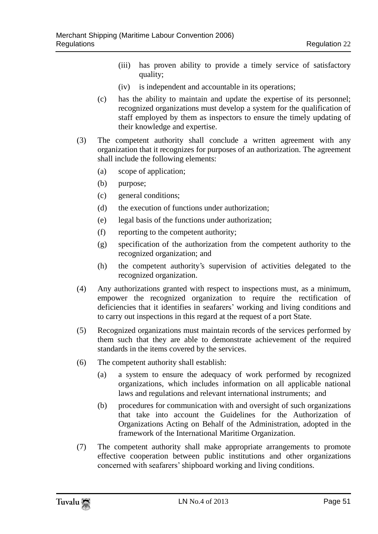- (iii) has proven ability to provide a timely service of satisfactory quality;
- (iv) is independent and accountable in its operations;
- (c) has the ability to maintain and update the expertise of its personnel; recognized organizations must develop a system for the qualification of staff employed by them as inspectors to ensure the timely updating of their knowledge and expertise.
- (3) The competent authority shall conclude a written agreement with any organization that it recognizes for purposes of an authorization. The agreement shall include the following elements:
	- (a) scope of application;
	- (b) purpose;
	- (c) general conditions;
	- (d) the execution of functions under authorization;
	- (e) legal basis of the functions under authorization;
	- (f) reporting to the competent authority;
	- (g) specification of the authorization from the competent authority to the recognized organization; and
	- (h) the competent authority's supervision of activities delegated to the recognized organization.
- (4) Any authorizations granted with respect to inspections must, as a minimum, empower the recognized organization to require the rectification of deficiencies that it identifies in seafarers' working and living conditions and to carry out inspections in this regard at the request of a port State.
- (5) Recognized organizations must maintain records of the services performed by them such that they are able to demonstrate achievement of the required standards in the items covered by the services.
- (6) The competent authority shall establish:
	- (a) a system to ensure the adequacy of work performed by recognized organizations, which includes information on all applicable national laws and regulations and relevant international instruments; and
	- (b) procedures for communication with and oversight of such organizations that take into account the Guidelines for the Authorization of Organizations Acting on Behalf of the Administration, adopted in the framework of the International Maritime Organization.
- (7) The competent authority shall make appropriate arrangements to promote effective cooperation between public institutions and other organizations concerned with seafarers'shipboard working and living conditions.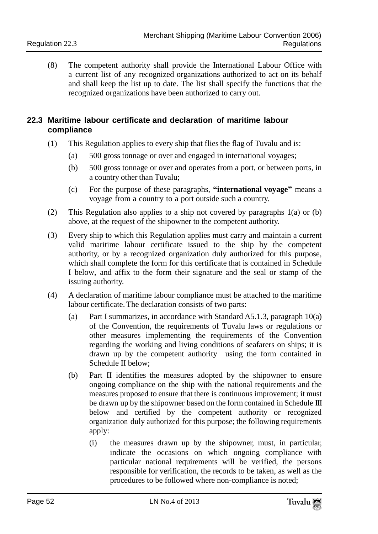(8) The competent authority shall provide the International Labour Office with a current list of any recognized organizations authorized to act on its behalf and shall keep the list up to date. The list shall specify the functions that the recognized organizations have been authorized to carry out.

### **22.3 Maritime labour certificate and declaration of maritime labour compliance**

- (1) This Regulation applies to every ship that flies the flag of Tuvalu and is:
	- (a) 500 gross tonnage or over and engaged in international voyages;
	- (b) 500 gross tonnage or over and operates from a port, or between ports, in a country other than Tuvalu;
	- (c) For the purpose of these paragraphs, **"international voyage"** means a voyage from a country to a port outside such a country.
- (2) This Regulation also applies to a ship not covered by paragraphs 1(a) or (b) above, at the request of the shipowner to the competent authority.
- (3) Every ship to which this Regulation applies must carry and maintain a current valid maritime labour certificate issued to the ship by the competent authority, or by a recognized organization duly authorized for this purpose, which shall complete the form for this certificate that is contained in Schedule I below, and affix to the form their signature and the seal or stamp of the issuing authority.
- (4) A declaration of maritime labour compliance must be attached to the maritime labour certificate. The declaration consists of two parts:
	- (a) Part I summarizes, in accordance with Standard A5.1.3, paragraph 10(a) of the Convention, the requirements of Tuvalu laws or regulations or other measures implementing the requirements of the Convention regarding the working and living conditions of seafarers on ships; it is drawn up by the competent authority using the form contained in Schedule II below;
	- (b) Part II identifies the measures adopted by the shipowner to ensure ongoing compliance on the ship with the national requirements and the measures proposed to ensure that there is continuous improvement; it must be drawn up by the shipowner based on the form contained in Schedule III below and certified by the competent authority or recognized organization duly authorized for this purpose; the following requirements apply:
		- (i) the measures drawn up by the shipowner, must, in particular, indicate the occasions on which ongoing compliance with particular national requirements will be verified, the persons responsible for verification, the records to be taken, as well as the procedures to be followed where non-compliance is noted;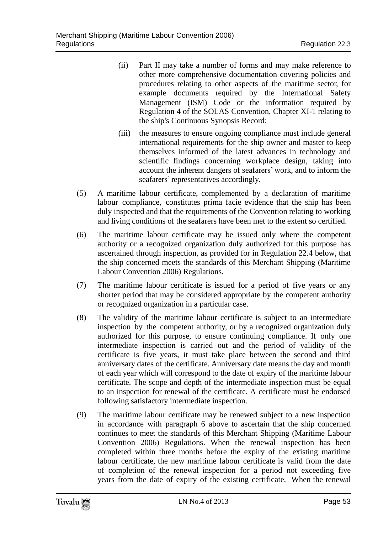- (ii) Part II may take a number of forms and may make reference to other more comprehensive documentation covering policies and procedures relating to other aspects of the maritime sector, for example documents required by the International Safety Management (ISM) Code or the information required by Regulation 4 of the SOLAS Convention, Chapter XI-1 relating to the ship's Continuous Synopsis Record;
- (iii) the measures to ensure ongoing compliance must include general international requirements for the ship owner and master to keep themselves informed of the latest advances in technology and scientific findings concerning workplace design, taking into account the inherent dangers of seafarers' work, and to inform the seafarers' representatives accordingly.
- (5) A maritime labour certificate, complemented by a declaration of maritime labour compliance, constitutes prima facie evidence that the ship has been duly inspected and that the requirements of the Convention relating to working and living conditions of the seafarers have been met to the extent so certified.
- (6) The maritime labour certificate may be issued only where the competent authority or a recognized organization duly authorized for this purpose has ascertained through inspection, as provided for in Regulation 22.4 below, that the ship concerned meets the standards of this Merchant Shipping (Maritime Labour Convention 2006) Regulations.
- (7) The maritime labour certificate is issued for a period of five years or any shorter period that may be considered appropriate by the competent authority or recognized organization in a particular case.
- (8) The validity of the maritime labour certificate is subject to an intermediate inspection by the competent authority, or by a recognized organization duly authorized for this purpose, to ensure continuing compliance. If only one intermediate inspection is carried out and the period of validity of the certificate is five years, it must take place between the second and third anniversary dates of the certificate. Anniversary date means the day and month of each year which will correspond to the date of expiry of the maritime labour certificate. The scope and depth of the intermediate inspection must be equal to an inspection for renewal of the certificate. A certificate must be endorsed following satisfactory intermediate inspection.
- (9) The maritime labour certificate may be renewed subject to a new inspection in accordance with paragraph 6 above to ascertain that the ship concerned continues to meet the standards of this Merchant Shipping (Maritime Labour Convention 2006) Regulations. When the renewal inspection has been completed within three months before the expiry of the existing maritime labour certificate, the new maritime labour certificate is valid from the date of completion of the renewal inspection for a period not exceeding five years from the date of expiry of the existing certificate. When the renewal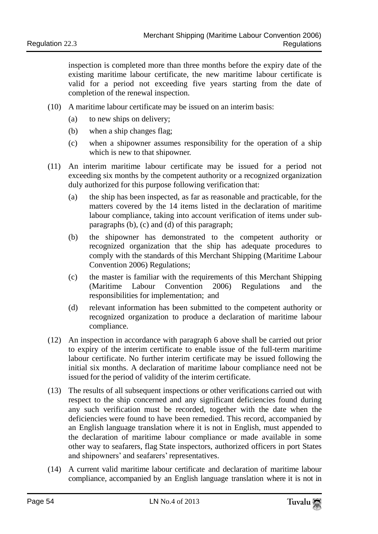inspection is completed more than three months before the expiry date of the existing maritime labour certificate, the new maritime labour certificate is valid for a period not exceeding five years starting from the date of completion of the renewal inspection.

- (10) A maritime labour certificate may be issued on an interim basis:
	- (a) to new ships on delivery;
	- (b) when a ship changes flag;
	- (c) when a shipowner assumes responsibility for the operation of a ship which is new to that shipowner.
- (11) An interim maritime labour certificate may be issued for a period not exceeding six months by the competent authority or a recognized organization duly authorized for this purpose following verification that:
	- (a) the ship has been inspected, as far as reasonable and practicable, for the matters covered by the 14 items listed in the declaration of maritime labour compliance, taking into account verification of items under subparagraphs (b), (c) and (d) of this paragraph;
	- (b) the shipowner has demonstrated to the competent authority or recognized organization that the ship has adequate procedures to comply with the standards of this Merchant Shipping (Maritime Labour Convention 2006) Regulations;
	- (c) the master is familiar with the requirements of this Merchant Shipping (Maritime Labour Convention 2006) Regulations and the responsibilities for implementation; and
	- (d) relevant information has been submitted to the competent authority or recognized organization to produce a declaration of maritime labour compliance.
- (12) An inspection in accordance with paragraph 6 above shall be carried out prior to expiry of the interim certificate to enable issue of the full-term maritime labour certificate. No further interim certificate may be issued following the initial six months. A declaration of maritime labour compliance need not be issued for the period of validity of the interim certificate.
- (13) The results of all subsequent inspections or other verifications carried out with respect to the ship concerned and any significant deficiencies found during any such verification must be recorded, together with the date when the deficiencies were found to have been remedied. This record, accompanied by an English language translation where it is not in English, must appended to the declaration of maritime labour compliance or made available in some other way to seafarers, flag State inspectors, authorized officers in port States and shipowners' and seafarers' representatives.
- (14) A current valid maritime labour certificate and declaration of maritime labour compliance, accompanied by an English language translation where it is not in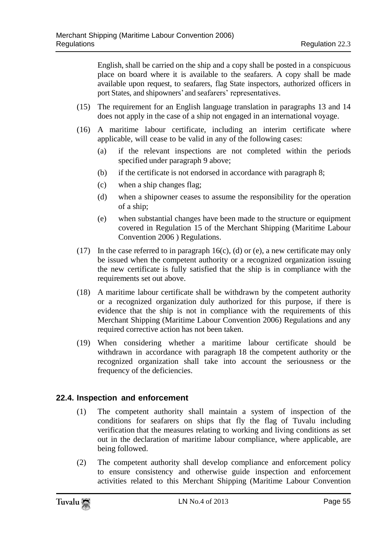English, shall be carried on the ship and a copy shall be posted in a conspicuous place on board where it is available to the seafarers. A copy shall be made available upon request, to seafarers, flag State inspectors, authorized officers in port States, and shipowners' and seafarers' representatives.

- (15) The requirement for an English language translation in paragraphs 13 and 14 does not apply in the case of a ship not engaged in an international voyage.
- (16) A maritime labour certificate, including an interim certificate where applicable, will cease to be valid in any of the following cases:
	- (a) if the relevant inspections are not completed within the periods specified under paragraph 9 above;
	- (b) if the certificate is not endorsed in accordance with paragraph 8;
	- (c) when a ship changes flag;
	- (d) when a shipowner ceases to assume the responsibility for the operation of a ship;
	- (e) when substantial changes have been made to the structure or equipment covered in Regulation 15 of the Merchant Shipping (Maritime Labour Convention 2006 ) Regulations.
- (17) In the case referred to in paragraph  $16(c)$ , (d) or (e), a new certificate may only be issued when the competent authority or a recognized organization issuing the new certificate is fully satisfied that the ship is in compliance with the requirements set out above.
- (18) A maritime labour certificate shall be withdrawn by the competent authority or a recognized organization duly authorized for this purpose, if there is evidence that the ship is not in compliance with the requirements of this Merchant Shipping (Maritime Labour Convention 2006) Regulations and any required corrective action has not been taken.
- (19) When considering whether a maritime labour certificate should be withdrawn in accordance with paragraph 18 the competent authority or the recognized organization shall take into account the seriousness or the frequency of the deficiencies.

## **22.4. Inspection and enforcement**

- (1) The competent authority shall maintain a system of inspection of the conditions for seafarers on ships that fly the flag of Tuvalu including verification that the measures relating to working and living conditions as set out in the declaration of maritime labour compliance, where applicable, are being followed.
- (2) The competent authority shall develop compliance and enforcement policy to ensure consistency and otherwise guide inspection and enforcement activities related to this Merchant Shipping (Maritime Labour Convention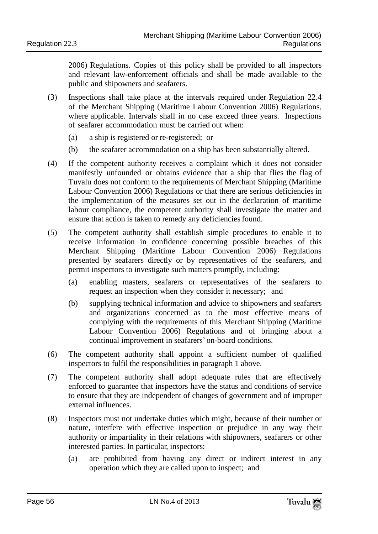2006) Regulations. Copies of this policy shall be provided to all inspectors and relevant law-enforcement officials and shall be made available to the public and shipowners and seafarers.

- (3) Inspections shall take place at the intervals required under Regulation 22.4 of the Merchant Shipping (Maritime Labour Convention 2006) Regulations, where applicable. Intervals shall in no case exceed three years. Inspections of seafarer accommodation must be carried out when:
	- (a) a ship is registered or re-registered; or
	- (b) the seafarer accommodation on a ship has been substantially altered.
- (4) If the competent authority receives a complaint which it does not consider manifestly unfounded or obtains evidence that a ship that flies the flag of Tuvalu does not conform to the requirements of Merchant Shipping (Maritime Labour Convention 2006) Regulations or that there are serious deficiencies in the implementation of the measures set out in the declaration of maritime labour compliance, the competent authority shall investigate the matter and ensure that action is taken to remedy any deficiencies found.
- (5) The competent authority shall establish simple procedures to enable it to receive information in confidence concerning possible breaches of this Merchant Shipping (Maritime Labour Convention 2006) Regulations presented by seafarers directly or by representatives of the seafarers, and permit inspectors to investigate such matters promptly, including:
	- (a) enabling masters, seafarers or representatives of the seafarers to request an inspection when they consider it necessary; and
	- (b) supplying technical information and advice to shipowners and seafarers and organizations concerned as to the most effective means of complying with the requirements of this Merchant Shipping (Maritime Labour Convention 2006) Regulations and of bringing about a continual improvement in seafarers' on-board conditions.
- (6) The competent authority shall appoint a sufficient number of qualified inspectors to fulfil the responsibilities in paragraph 1 above.
- (7) The competent authority shall adopt adequate rules that are effectively enforced to guarantee that inspectors have the status and conditions of service to ensure that they are independent of changes of government and of improper external influences.
- (8) Inspectors must not undertake duties which might, because of their number or nature, interfere with effective inspection or prejudice in any way their authority or impartiality in their relations with shipowners, seafarers or other interested parties. In particular, inspectors:
	- (a) are prohibited from having any direct or indirect interest in any operation which they are called upon to inspect; and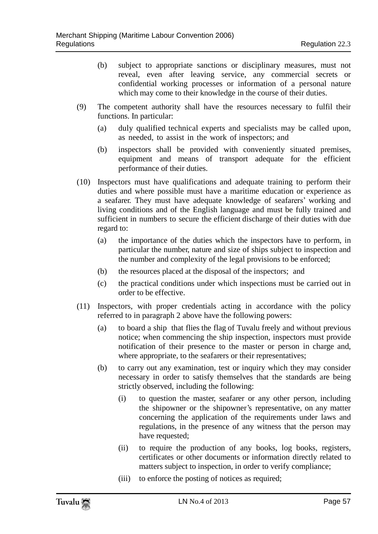- (b) subject to appropriate sanctions or disciplinary measures, must not reveal, even after leaving service, any commercial secrets or confidential working processes or information of a personal nature which may come to their knowledge in the course of their duties.
- (9) The competent authority shall have the resources necessary to fulfil their functions. In particular:
	- (a) duly qualified technical experts and specialists may be called upon, as needed, to assist in the work of inspectors; and
	- (b) inspectors shall be provided with conveniently situated premises, equipment and means of transport adequate for the efficient performance of their duties.
- (10) Inspectors must have qualifications and adequate training to perform their duties and where possible must have a maritime education or experience as a seafarer. They must have adequate knowledge of seafarers' working and living conditions and of the English language and must be fully trained and sufficient in numbers to secure the efficient discharge of their duties with due regard to:
	- (a) the importance of the duties which the inspectors have to perform, in particular the number, nature and size of ships subject to inspection and the number and complexity of the legal provisions to be enforced;
	- (b) the resources placed at the disposal of the inspectors; and
	- (c) the practical conditions under which inspections must be carried out in order to be effective.
- (11) Inspectors, with proper credentials acting in accordance with the policy referred to in paragraph 2 above have the following powers:
	- (a) to board a ship that flies the flag of Tuvalu freely and without previous notice; when commencing the ship inspection, inspectors must provide notification of their presence to the master or person in charge and, where appropriate, to the seafarers or their representatives;
	- (b) to carry out any examination, test or inquiry which they may consider necessary in order to satisfy themselves that the standards are being strictly observed, including the following:
		- (i) to question the master, seafarer or any other person, including the shipowner or the shipowner's representative, on any matter concerning the application of the requirements under laws and regulations, in the presence of any witness that the person may have requested;
		- (ii) to require the production of any books, log books, registers, certificates or other documents or information directly related to matters subject to inspection, in order to verify compliance;
		- (iii) to enforce the posting of notices as required;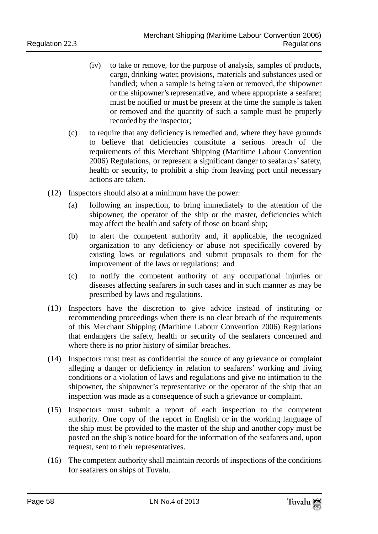- (iv) to take or remove, for the purpose of analysis, samples of products, cargo, drinking water, provisions, materials and substances used or handled; when a sample is being taken or removed, the shipowner or the shipowner's representative, and where appropriate a seafarer, must be notified or must be present at the time the sample is taken or removed and the quantity of such a sample must be properly recorded by the inspector;
- (c) to require that any deficiency is remedied and, where they have grounds to believe that deficiencies constitute a serious breach of the requirements of this Merchant Shipping (Maritime Labour Convention 2006) Regulations, or represent a significant danger to seafarers'safety, health or security, to prohibit a ship from leaving port until necessary actions are taken.
- (12) Inspectors should also at a minimum have the power:
	- (a) following an inspection, to bring immediately to the attention of the shipowner, the operator of the ship or the master, deficiencies which may affect the health and safety of those on board ship;
	- (b) to alert the competent authority and, if applicable, the recognized organization to any deficiency or abuse not specifically covered by existing laws or regulations and submit proposals to them for the improvement of the laws or regulations; and
	- (c) to notify the competent authority of any occupational injuries or diseases affecting seafarers in such cases and in such manner as may be prescribed by laws and regulations.
- (13) Inspectors have the discretion to give advice instead of instituting or recommending proceedings when there is no clear breach of the requirements of this Merchant Shipping (Maritime Labour Convention 2006) Regulations that endangers the safety, health or security of the seafarers concerned and where there is no prior history of similar breaches.
- (14) Inspectors must treat as confidential the source of any grievance or complaint alleging a danger or deficiency in relation to seafarers' working and living conditions or a violation of laws and regulations and give no intimation to the shipowner, the shipowner's representative or the operator of the ship that an inspection was made as a consequence of such a grievance or complaint.
- (15) Inspectors must submit a report of each inspection to the competent authority. One copy of the report in English or in the working language of the ship must be provided to the master of the ship and another copy must be posted on the ship's notice board for the information of the seafarers and, upon request, sent to their representatives.
- (16) The competent authority shall maintain records of inspections of the conditions for seafarers on ships of Tuvalu.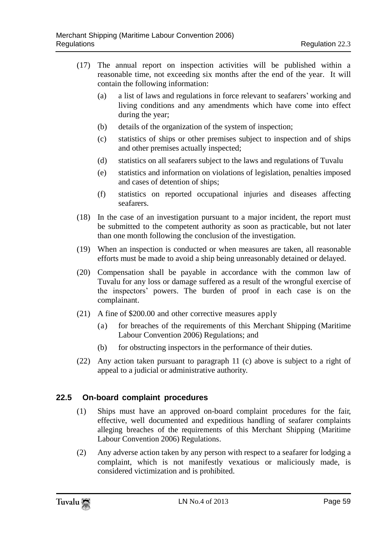- (17) The annual report on inspection activities will be published within a reasonable time, not exceeding six months after the end of the year. It will contain the following information:
	- (a) a list of laws and regulations in force relevant to seafarers' working and living conditions and any amendments which have come into effect during the year;
	- (b) details of the organization of the system of inspection;
	- (c) statistics of ships or other premises subject to inspection and of ships and other premises actually inspected;
	- (d) statistics on all seafarers subject to the laws and regulations of Tuvalu
	- (e) statistics and information on violations of legislation, penalties imposed and cases of detention of ships;
	- (f) statistics on reported occupational injuries and diseases affecting seafarers.
- (18) In the case of an investigation pursuant to a major incident, the report must be submitted to the competent authority as soon as practicable, but not later than one month following the conclusion of the investigation.
- (19) When an inspection is conducted or when measures are taken, all reasonable efforts must be made to avoid a ship being unreasonably detained or delayed.
- (20) Compensation shall be payable in accordance with the common law of Tuvalu for any loss or damage suffered as a result of the wrongful exercise of the inspectors' powers. The burden of proof in each case is on the complainant.
- (21) A fine of \$200.00 and other corrective measures apply
	- (a) for breaches of the requirements of this Merchant Shipping (Maritime Labour Convention 2006) Regulations; and
	- (b) for obstructing inspectors in the performance of their duties.
- (22) Any action taken pursuant to paragraph 11 (c) above is subject to a right of appeal to a judicial or administrative authority.

#### **22.5 On-board complaint procedures**

- (1) Ships must have an approved on-board complaint procedures for the fair, effective, well documented and expeditious handling of seafarer complaints alleging breaches of the requirements of this Merchant Shipping (Maritime Labour Convention 2006) Regulations.
- (2) Any adverse action taken by any person with respect to a seafarer for lodging a complaint, which is not manifestly vexatious or maliciously made, is considered victimization and is prohibited.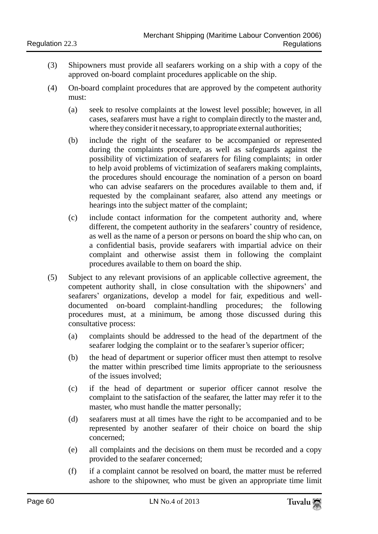- (3) Shipowners must provide all seafarers working on a ship with a copy of the approved on-board complaint procedures applicable on the ship.
- (4) On-board complaint procedures that are approved by the competent authority must:
	- (a) seek to resolve complaints at the lowest level possible; however, in all cases, seafarers must have a right to complain directly to the master and, where they consider it necessary, to appropriate external authorities;
	- (b) include the right of the seafarer to be accompanied or represented during the complaints procedure, as well as safeguards against the possibility of victimization of seafarers for filing complaints; in order to help avoid problems of victimization of seafarers making complaints, the procedures should encourage the nomination of a person on board who can advise seafarers on the procedures available to them and, if requested by the complainant seafarer, also attend any meetings or hearings into the subject matter of the complaint;
	- (c) include contact information for the competent authority and, where different, the competent authority in the seafarers' country of residence, as well as the name of a person or persons on board the ship who can, on a confidential basis, provide seafarers with impartial advice on their complaint and otherwise assist them in following the complaint procedures available to them on board the ship.
- (5) Subject to any relevant provisions of an applicable collective agreement, the competent authority shall, in close consultation with the shipowners' and seafarers' organizations, develop a model for fair, expeditious and welldocumented on-board complaint-handling procedures; the following procedures must, at a minimum, be among those discussed during this consultative process:
	- (a) complaints should be addressed to the head of the department of the seafarer lodging the complaint or to the seafarer's superior officer;
	- (b) the head of department or superior officer must then attempt to resolve the matter within prescribed time limits appropriate to the seriousness of the issues involved;
	- (c) if the head of department or superior officer cannot resolve the complaint to the satisfaction of the seafarer, the latter may refer it to the master, who must handle the matter personally;
	- (d) seafarers must at all times have the right to be accompanied and to be represented by another seafarer of their choice on board the ship concerned;
	- (e) all complaints and the decisions on them must be recorded and a copy provided to the seafarer concerned;
	- (f) if a complaint cannot be resolved on board, the matter must be referred ashore to the shipowner, who must be given an appropriate time limit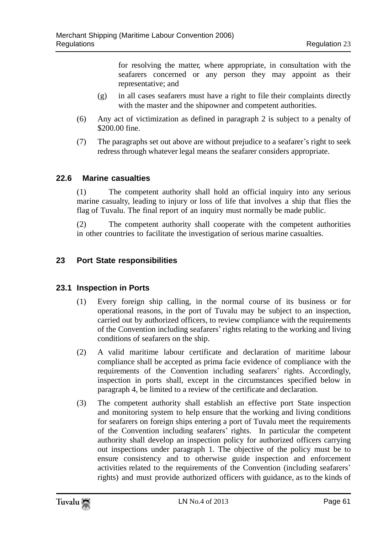for resolving the matter, where appropriate, in consultation with the seafarers concerned or any person they may appoint as their representative; and

- (g) in all cases seafarers must have a right to file their complaints directly with the master and the shipowner and competent authorities.
- (6) Any act of victimization as defined in paragraph 2 is subject to a penalty of \$200.00 fine.
- (7) The paragraphs set out above are without prejudice to a seafarer's right to seek redress through whatever legal means the seafarer considers appropriate.

### **22.6 Marine casualties**

(1) The competent authority shall hold an official inquiry into any serious marine casualty, leading to injury or loss of life that involves a ship that flies the flag of Tuvalu. The final report of an inquiry must normally be made public.

(2) The competent authority shall cooperate with the competent authorities in other countries to facilitate the investigation of serious marine casualties.

### **23 Port State responsibilities**

## **23.1 Inspection in Ports**

- (1) Every foreign ship calling, in the normal course of its business or for operational reasons, in the port of Tuvalu may be subject to an inspection, carried out by authorized officers, to review compliance with the requirements of the Convention including seafarers' rights relating to the working and living conditions of seafarers on the ship.
- (2) A valid maritime labour certificate and declaration of maritime labour compliance shall be accepted as prima facie evidence of compliance with the requirements of the Convention including seafarers' rights. Accordingly, inspection in ports shall, except in the circumstances specified below in paragraph 4, be limited to a review of the certificate and declaration.
- (3) The competent authority shall establish an effective port State inspection and monitoring system to help ensure that the working and living conditions for seafarers on foreign ships entering a port of Tuvalu meet the requirements of the Convention including seafarers' rights. In particular the competent authority shall develop an inspection policy for authorized officers carrying out inspections under paragraph 1. The objective of the policy must be to ensure consistency and to otherwise guide inspection and enforcement activities related to the requirements of the Convention (including seafarers' rights) and must provide authorized officers with guidance, as to the kinds of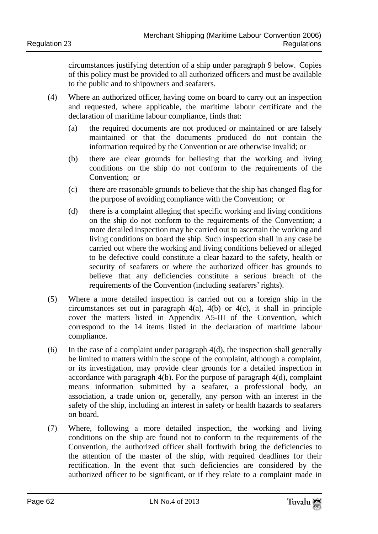circumstances justifying detention of a ship under paragraph 9 below. Copies of this policy must be provided to all authorized officers and must be available to the public and to shipowners and seafarers.

- (4) Where an authorized officer, having come on board to carry out an inspection and requested, where applicable, the maritime labour certificate and the declaration of maritime labour compliance, finds that:
	- (a) the required documents are not produced or maintained or are falsely maintained or that the documents produced do not contain the information required by the Convention or are otherwise invalid; or
	- (b) there are clear grounds for believing that the working and living conditions on the ship do not conform to the requirements of the Convention; or
	- (c) there are reasonable grounds to believe that the ship has changed flag for the purpose of avoiding compliance with the Convention; or
	- (d) there is a complaint alleging that specific working and living conditions on the ship do not conform to the requirements of the Convention; a more detailed inspection may be carried out to ascertain the working and living conditions on board the ship. Such inspection shall in any case be carried out where the working and living conditions believed or alleged to be defective could constitute a clear hazard to the safety, health or security of seafarers or where the authorized officer has grounds to believe that any deficiencies constitute a serious breach of the requirements of the Convention (including seafarers' rights).
- (5) Where a more detailed inspection is carried out on a foreign ship in the circumstances set out in paragraph 4(a), 4(b) or 4(c), it shall in principle cover the matters listed in Appendix A5-III of the Convention, which correspond to the 14 items listed in the declaration of maritime labour compliance.
- (6) In the case of a complaint under paragraph 4(d), the inspection shall generally be limited to matters within the scope of the complaint, although a complaint, or its investigation, may provide clear grounds for a detailed inspection in accordance with paragraph 4(b). For the purpose of paragraph 4(d), complaint means information submitted by a seafarer, a professional body, an association, a trade union or, generally, any person with an interest in the safety of the ship, including an interest in safety or health hazards to seafarers on board.
- (7) Where, following a more detailed inspection, the working and living conditions on the ship are found not to conform to the requirements of the Convention, the authorized officer shall forthwith bring the deficiencies to the attention of the master of the ship, with required deadlines for their rectification. In the event that such deficiencies are considered by the authorized officer to be significant, or if they relate to a complaint made in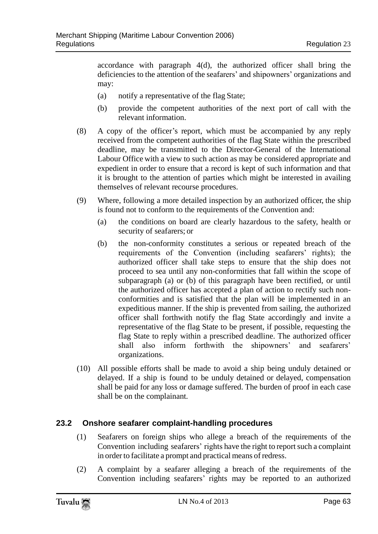accordance with paragraph 4(d), the authorized officer shall bring the deficiencies to the attention of the seafarers' and shipowners' organizations and may:

- (a) notify a representative of the flag State;
- (b) provide the competent authorities of the next port of call with the relevant information.
- (8) A copy of the officer's report, which must be accompanied by any reply received from the competent authorities of the flag State within the prescribed deadline, may be transmitted to the Director-General of the International Labour Office with a view to such action as may be considered appropriate and expedient in order to ensure that a record is kept of such information and that it is brought to the attention of parties which might be interested in availing themselves of relevant recourse procedures.
- (9) Where, following a more detailed inspection by an authorized officer, the ship is found not to conform to the requirements of the Convention and:
	- (a) the conditions on board are clearly hazardous to the safety, health or security of seafarers; or
	- (b) the non-conformity constitutes a serious or repeated breach of the requirements of the Convention (including seafarers' rights); the authorized officer shall take steps to ensure that the ship does not proceed to sea until any non-conformities that fall within the scope of subparagraph (a) or (b) of this paragraph have been rectified, or until the authorized officer has accepted a plan of action to rectify such nonconformities and is satisfied that the plan will be implemented in an expeditious manner. If the ship is prevented from sailing, the authorized officer shall forthwith notify the flag State accordingly and invite a representative of the flag State to be present, if possible, requesting the flag State to reply within a prescribed deadline. The authorized officer shall also inform forthwith the shipowners' and seafarers' organizations.
- (10) All possible efforts shall be made to avoid a ship being unduly detained or delayed. If a ship is found to be unduly detained or delayed, compensation shall be paid for any loss or damage suffered. The burden of proof in each case shall be on the complainant.

## **23.2 Onshore seafarer complaint-handling procedures**

- (1) Seafarers on foreign ships who allege a breach of the requirements of the Convention including seafarers' rights have the right to report such a complaint in order to facilitate a prompt and practical means of redress.
- (2) A complaint by a seafarer alleging a breach of the requirements of the Convention including seafarers' rights may be reported to an authorized

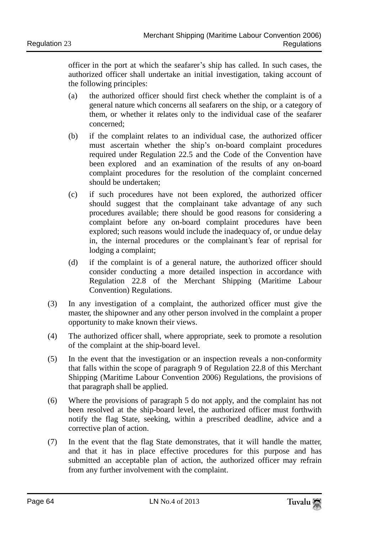officer in the port at which the seafarer's ship has called. In such cases, the authorized officer shall undertake an initial investigation, taking account of the following principles:

- (a) the authorized officer should first check whether the complaint is of a general nature which concerns all seafarers on the ship, or a category of them, or whether it relates only to the individual case of the seafarer concerned;
- (b) if the complaint relates to an individual case, the authorized officer must ascertain whether the ship's on-board complaint procedures required under Regulation 22.5 and the Code of the Convention have been explored and an examination of the results of any on-board complaint procedures for the resolution of the complaint concerned should be undertaken;
- (c) if such procedures have not been explored, the authorized officer should suggest that the complainant take advantage of any such procedures available; there should be good reasons for considering a complaint before any on-board complaint procedures have been explored; such reasons would include the inadequacy of, or undue delay in, the internal procedures or the complainant's fear of reprisal for lodging a complaint;
- (d) if the complaint is of a general nature, the authorized officer should consider conducting a more detailed inspection in accordance with Regulation 22.8 of the Merchant Shipping (Maritime Labour Convention) Regulations.
- (3) In any investigation of a complaint, the authorized officer must give the master, the shipowner and any other person involved in the complaint a proper opportunity to make known their views.
- (4) The authorized officer shall, where appropriate, seek to promote a resolution of the complaint at the ship-board level.
- (5) In the event that the investigation or an inspection reveals a non-conformity that falls within the scope of paragraph 9 of Regulation 22.8 of this Merchant Shipping (Maritime Labour Convention 2006) Regulations, the provisions of that paragraph shall be applied.
- (6) Where the provisions of paragraph 5 do not apply, and the complaint has not been resolved at the ship-board level, the authorized officer must forthwith notify the flag State, seeking, within a prescribed deadline, advice and a corrective plan of action.
- (7) In the event that the flag State demonstrates, that it will handle the matter, and that it has in place effective procedures for this purpose and has submitted an acceptable plan of action, the authorized officer may refrain from any further involvement with the complaint.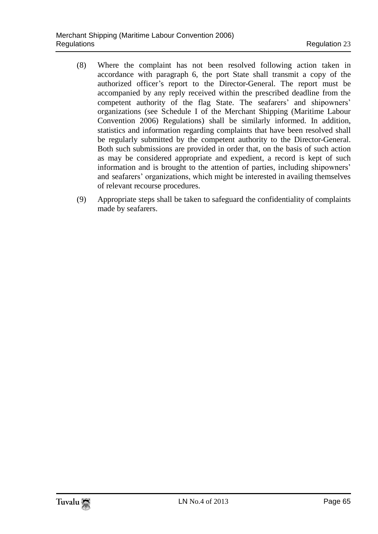- (8) Where the complaint has not been resolved following action taken in accordance with paragraph 6, the port State shall transmit a copy of the authorized officer's report to the Director-General. The report must be accompanied by any reply received within the prescribed deadline from the competent authority of the flag State. The seafarers' and shipowners' organizations (see Schedule I of the Merchant Shipping (Maritime Labour Convention 2006) Regulations) shall be similarly informed. In addition, statistics and information regarding complaints that have been resolved shall be regularly submitted by the competent authority to the Director-General. Both such submissions are provided in order that, on the basis of such action as may be considered appropriate and expedient, a record is kept of such information and is brought to the attention of parties, including shipowners' and seafarers' organizations, which might be interested in availing themselves of relevant recourse procedures.
- (9) Appropriate steps shall be taken to safeguard the confidentiality of complaints made by seafarers.

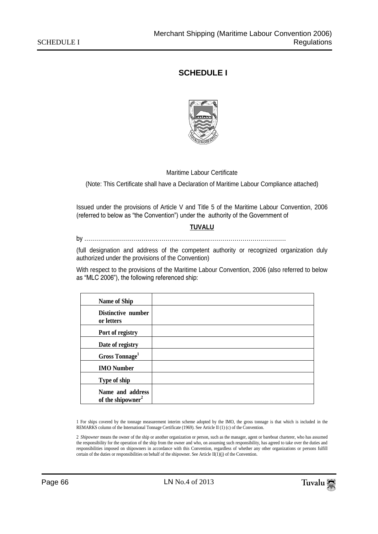## **SCHEDULE I**



#### Maritime Labour Certificate

(Note: This Certificate shall have a Declaration of Maritime Labour Compliance attached)

Issued under the provisions of Article V and Title 5 of the Maritime Labour Convention, 2006 (referred to below as "the Convention") under the authority of the Government of

#### **TUVALU**

#### by …………………………………………………………………………………………

(full designation and address of the competent authority or recognized organization duly authorized under the provisions of the Convention)

With respect to the provisions of the Maritime Labour Convention, 2006 (also referred to below as "MLC 2006"), the following referenced ship:

| Name of Ship                                      |  |
|---------------------------------------------------|--|
| Distinctive number<br>or letters                  |  |
| Port of registry                                  |  |
| Date of registry                                  |  |
| Gross Tonnage <sup>1</sup>                        |  |
| <b>IMO</b> Number                                 |  |
| Type of ship                                      |  |
| Name and address<br>of the shipowner <sup>2</sup> |  |

1 For ships covered by the tonnage measurement interim scheme adopted by the IMO, the gross tonnage is that which is included in the REMARKS column of the International Tonnage Certificate (1969). See Article II (1) (c) of the Convention.

2 *Shipowner* means the owner of the ship or another organization or person, such as the manager, agent or bareboat charterer, who has assumed the responsibility for the operation of the ship from the owner and who, on assuming such responsibility, has agreed to take over the duties and responsibilities imposed on shipowners in accordance with this Convention, regardless of whether any other organizations or persons fulfill certain of the duties or responsibilities on behalf of the shipowner. See Article  $II(1)(j)$  of the Convention.

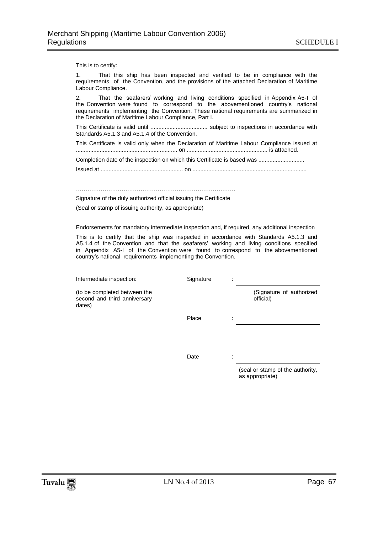This is to certify:

1. That this ship has been inspected and verified to be in compliance with the requirements of the Convention, and the provisions of the attached Declaration of Maritime Labour Compliance.

2. That the seafarers' working and living conditions specified in Appendix A5-I of the Convention were found to correspond to the abovementioned country's national requirements implementing the Convention. These national requirements are summarized in the Declaration of Maritime Labour Compliance, Part I.

This Certificate is valid until .................................... subject to inspections in accordance with Standards A5.1.3 and A5.1.4 of the Convention.

This Certificate is valid only when the Declaration of Maritime Labour Compliance issued at ................................................................ on ................................................... is attached.

Completion date of the inspection on which this Certificate is based was .............................

Issued at .................................................... on ........................................................................

Signature of the duly authorized official issuing the Certificate

(Seal or stamp of issuing authority, as appropriate)

Endorsements for mandatory intermediate inspection and, if required, any additional inspection

This is to certify that the ship was inspected in accordance with Standards A5.1.3 and A5.1.4 of the Convention and that the seafarers' working and living conditions specified in Appendix A5-I of the Convention were found to correspond to the abovementioned country's national requirements implementing the Convention.

Intermediate inspection: Signature

(to be completed between the second and third anniversary dates)

(Signature of authorized official)

Place

Date

(seal or stamp of the authority, as appropriate)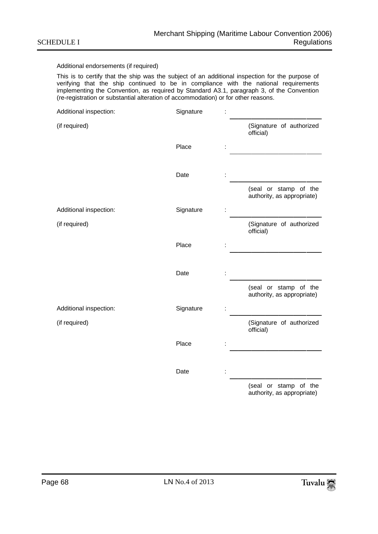#### Additional endorsements (if required)

This is to certify that the ship was the subject of an additional inspection for the purpose of verifying that the ship continued to be in compliance with the national requirements implementing the Convention, as required by Standard A3.1, paragraph 3, of the Convention (re-registration or substantial alteration of accommodation) or for other reasons.

| Additional inspection: | Signature |                                                     |
|------------------------|-----------|-----------------------------------------------------|
| (if required)          |           | (Signature of authorized<br>official)               |
|                        | Place     |                                                     |
|                        |           |                                                     |
|                        | Date      |                                                     |
|                        |           | (seal or stamp of the<br>authority, as appropriate) |
| Additional inspection: | Signature |                                                     |
| (if required)          |           | (Signature of authorized<br>official)               |
|                        | Place     |                                                     |
|                        |           |                                                     |
|                        | Date      |                                                     |
|                        |           | (seal or stamp of the<br>authority, as appropriate) |
| Additional inspection: | Signature |                                                     |
| (if required)          |           | (Signature of authorized<br>official)               |
|                        | Place     |                                                     |
|                        |           |                                                     |
|                        | Date      |                                                     |
|                        |           | (seal or stamp of the<br>authority, as appropriate) |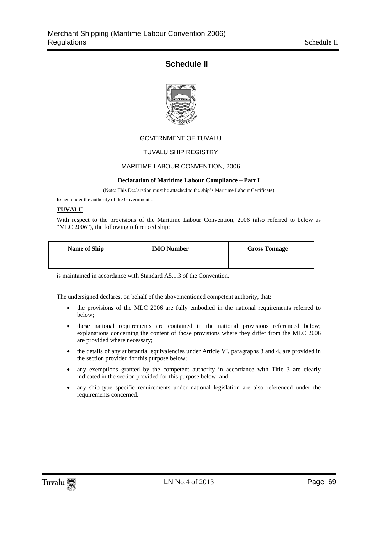# **Schedule II**



#### GOVERNMENT OF TUVALU

#### TUVALU SHIP REGISTRY

#### MARITIME LABOUR CONVENTION, 2006

#### **Declaration of Maritime Labour Compliance – Part I**

(Note: This Declaration must be attached to the ship's Maritime Labour Certificate)

Issued under the authority of the Government of

#### **TUVALU**

With respect to the provisions of the Maritime Labour Convention, 2006 (also referred to below as "MLC 2006"), the following referenced ship:

| Name of Ship | <b>IMO</b> Number | <b>Gross Tonnage</b> |
|--------------|-------------------|----------------------|
|              |                   |                      |
|              |                   |                      |

is maintained in accordance with Standard A5.1.3 of the Convention.

The undersigned declares, on behalf of the abovementioned competent authority, that:

- the provisions of the MLC 2006 are fully embodied in the national requirements referred to below;
- these national requirements are contained in the national provisions referenced below; explanations concerning the content of those provisions where they differ from the MLC 2006 are provided where necessary;
- the details of any substantial equivalencies under Article VI, paragraphs 3 and 4, are provided in the section provided for this purpose below;
- any exemptions granted by the competent authority in accordance with Title 3 are clearly indicated in the section provided for this purpose below; and
- any ship-type specific requirements under national legislation are also referenced under the requirements concerned.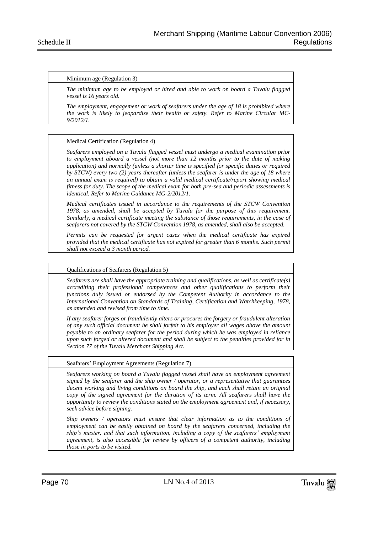Minimum age (Regulation 3)

*The minimum age to be employed or hired and able to work on board a Tuvalu flagged vessel is 16 years old.*

*The employment, engagement or work of seafarers under the age of 18 is prohibited where the work is likely to jeopardize their health or safety. Refer to Marine Circular MC-9/2012/1.*

Medical Certification (Regulation 4)

*Seafarers employed on a Tuvalu flagged vessel must undergo a medical examination prior to employment aboard a vessel (not more than 12 months prior to the date of making application) and normally (unless a shorter time is specified for specific duties or required by STCW) every two (2) years thereafter (unless the seafarer is under the age of 18 where an annual exam is required) to obtain a valid medical certificate/report showing medical fitness for duty. The scope of the medical exam for both pre-sea and periodic assessments is identical. Refer to Marine Guidance MG-2/2012/1.*

*Medical certificates issued in accordance to the requirements of the STCW Convention 1978, as amended, shall be accepted by Tuvalu for the purpose of this requirement. Similarly, a medical certificate meeting the substance of those requirements, in the case of seafarers not covered by the STCW Convention 1978, as amended, shall also be accepted.*

*Permits can be requested for urgent cases when the medical certificate has expired provided that the medical certificate has not expired for greater than 6 months. Such permit shall not exceed a 3 month period.*

Qualifications of Seafarers (Regulation 5)

*Seafarers are shall have the appropriate training and qualifications, as well as certificate(s) accrediting their professional competences and other qualifications to perform their functions duly issued or endorsed by the Competent Authority in accordance to the International Convention on Standards of Training, Certification and Watchkeeping, 1978, as amended and revised from time to time.*

*If any seafarer forges or fraudulently alters or procures the forgery or fraudulent alteration of any such official document he shall forfeit to his employer all wages above the amount payable to an ordinary seafarer for the period during which he was employed in reliance upon such forged or altered document and shall be subject to the penalties provided for in Section 77 of the Tuvalu Merchant Shipping Act.*

Seafarers' Employment Agreements (Regulation 7)

*Seafarers working on board a Tuvalu flagged vessel shall have an employment agreement signed by the seafarer and the ship owner / operator, or a representative that guarantees decent working and living conditions on board the ship, and each shall retain an original copy of the signed agreement for the duration of its term. All seafarers shall have the opportunity to review the conditions stated on the employment agreement and, if necessary, seek advice before signing.*

*Ship owners / operators must ensure that clear information as to the conditions of employment can be easily obtained on board by the seafarers concerned, including the ship's master, and that such information, including a copy of the seafarers' employment agreement, is also accessible for review by officers of a competent authority, including those in ports to be visited.*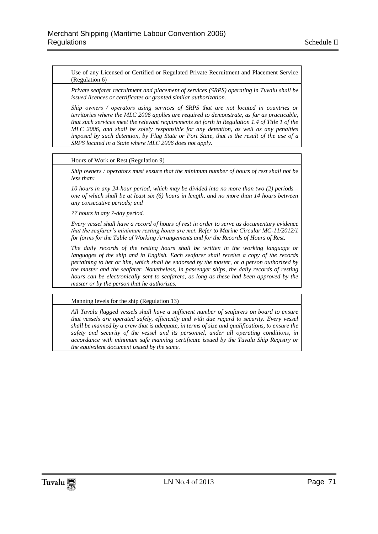Use of any Licensed or Certified or Regulated Private Recruitment and Placement Service (Regulation 6)

*Private seafarer recruitment and placement of services (SRPS) operating in Tuvalu shall be issued licences or certificates or granted similar authorization.*

*Ship owners / operators using services of SRPS that are not located in countries or territories where the MLC 2006 applies are required to demonstrate, as far as practicable, that such services meet the relevant requirements set forth in Regulation 1.4 of Title 1 of the MLC 2006, and shall be solely responsible for any detention, as well as any penalties imposed by such detention, by Flag State or Port State, that is the result of the use of a SRPS located in a State where MLC 2006 does not apply.*

Hours of Work or Rest (Regulation 9)

*Ship owners / operators must ensure that the minimum number of hours of rest shall not be less than:*

*10 hours in any 24-hour period, which may be divided into no more than two (2) periods – one of which shall be at least six (6) hours in length, and no more than 14 hours between any consecutive periods; and*

*77 hours in any 7-day period.*

*Every vessel shall have a record of hours of rest in order to serve as documentary evidence that the seafarer's minimum resting hours are met. Refer to Marine Circular MC-11/2012/1 for forms for the Table of Working Arrangements and for the Records of Hours of Rest.*

*The daily records of the resting hours shall be written in the working language or languages of the ship and in English. Each seafarer shall receive a copy of the records pertaining to her or him, which shall be endorsed by the master, or a person authorized by the master and the seafarer. Nonetheless, in passenger ships, the daily records of resting hours can be electronically sent to seafarers, as long as these had been approved by the master or by the person that he authorizes.*

Manning levels for the ship (Regulation 13)

*All Tuvalu flagged vessels shall have a sufficient number of seafarers on board to ensure that vessels are operated safely, efficiently and with due regard to security. Every vessel shall be manned by a crew that is adequate, in terms of size and qualifications, to ensure the safety and security of the vessel and its personnel, under all operating conditions, in accordance with minimum safe manning certificate issued by the Tuvalu Ship Registry or the equivalent document issued by the same.*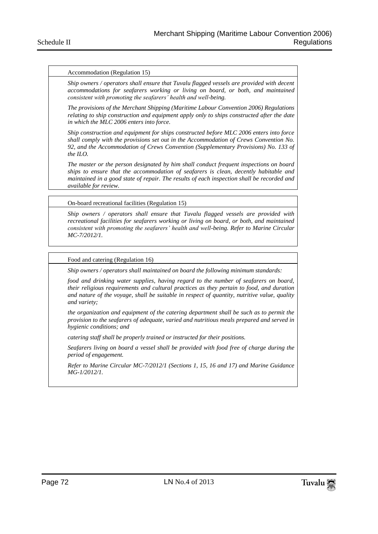#### Accommodation (Regulation 15)

*Ship owners / operators shall ensure that Tuvalu flagged vessels are provided with decent accommodations for seafarers working or living on board, or both, and maintained consistent with promoting the seafarers' health and well-being.*

*The provisions of the Merchant Shipping (Maritime Labour Convention 2006) Regulations relating to ship construction and equipment apply only to ships constructed after the date in which the MLC 2006 enters into force.*

*Ship construction and equipment for ships constructed before MLC 2006 enters into force shall comply with the provisions set out in the Accommodation of Crews Convention No. 92, and the Accommodation of Crews Convention (Supplementary Provisions) No. 133 of the ILO.*

*The master or the person designated by him shall conduct frequent inspections on board ships to ensure that the accommodation of seafarers is clean, decently habitable and maintained in a good state of repair. The results of each inspection shall be recorded and available for review.*

On-board recreational facilities (Regulation 15)

*Ship owners / operators shall ensure that Tuvalu flagged vessels are provided with recreational facilities for seafarers working or living on board, or both, and maintained consistent with promoting the seafarers' health and well-being. Refer to Marine Circular MC-7/2012/1.*

Food and catering (Regulation 16)

*Ship owners / operators shall maintained on board the following minimum standards:*

*food and drinking water supplies, having regard to the number of seafarers on board, their religious requirements and cultural practices as they pertain to food, and duration and nature of the voyage, shall be suitable in respect of quantity, nutritive value, quality and variety;*

*the organization and equipment of the catering department shall be such as to permit the provision to the seafarers of adequate, varied and nutritious meals prepared and served in hygienic conditions; and*

*catering staff shall be properly trained or instructed for their positions.* 

*Seafarers living on board a vessel shall be provided with food free of charge during the period of engagement.*

*Refer to Marine Circular MC-7/2012/1 (Sections 1, 15, 16 and 17) and Marine Guidance MG-1/2012/1.*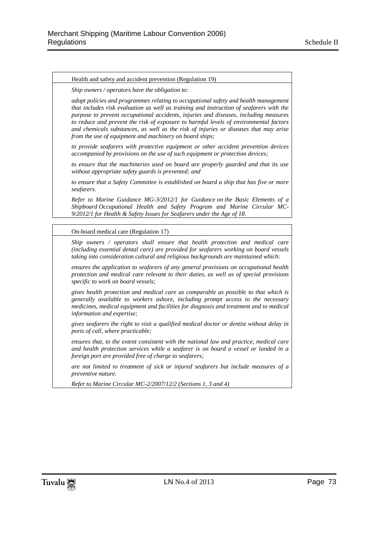*Ship owners / operators have the obligation to:*

**LEAD** Distributed Experimental (Regulation 19)<br>
Ship owners / operators have the obligation is:<br>
andy profection only programs relating to a computation of such the bulky and bulky manipulate the profession of the profes *adopt policies and programmes relating to occupational safety and health management that includes risk evaluation as well as training and instruction of seafarers with the purpose to prevent occupational accidents, injuries and diseases, including measures to reduce and prevent the risk of exposure to harmful levels of environmental factors and chemicals substances, as well as the risk of injuries or diseases that may arise from the use of equipment and machinery on board ships;*

*to provide seafarers with protective equipment or other accident prevention devices accompanied by provisions on the use of such equipment or protection devices;*

*to ensure that the machineries used on board are properly guarded and that its use without appropriate safety guards is prevented; and*

*to ensure that a Safety Committee is established on board a ship that has five or more seafarers.*

*Refer to Marine Guidance MG-3/2012/1 for Guidance on the Basic Elements of a Shipboard Occupational Health and Safety Program and Marine Circular MC-9/2012/1 for Health & Safety Issues for Seafarers under the Age of 18.*

On-board medical care (Regulation 17)

*Ship owners / operators shall ensure that health protection and medical care (including essential dental care) are provided for seafarers working on board vessels taking into consideration cultural and religious backgrounds are maintained which:*

*ensures the application to seafarers of any general provisions on occupational health protection and medical care relevant to their duties, as well as of special provisions specific to work on board vessels;*

*gives health protection and medical care as comparable as possible to that which is generally available to workers ashore, including prompt access to the necessary medicines, medical equipment and facilities for diagnosis and treatment and to medical information and expertise;*

*gives seafarers the right to visit a qualified medical doctor or dentist without delay in ports of call, where practicable;*

*ensures that, to the extent consistent with the national law and practice, medical care and health protection services while a seafarer is on board a vessel or landed in a foreign port are provided free of charge to seafarers;*

*are not limited to treatment of sick or injured seafarers but include measures of a preventive nature.*

*Refer to Marine Circular MC-2/2007/12/2 (Sections 1, 3 and 4)*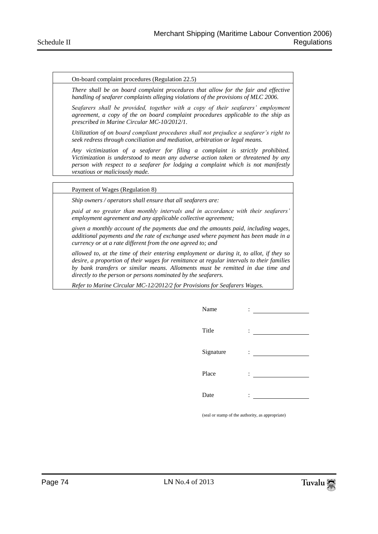On-board complaint procedures (Regulation 22.5)

*There shall be on board complaint procedures that allow for the fair and effective handling of seafarer complaints alleging violations of the provisions of MLC 2006.*

*Seafarers shall be provided, together with a copy of their seafarers' employment agreement, a copy of the on board complaint procedures applicable to the ship as prescribed in Marine Circular MC-10/2012/1.*

*Utilization of on board compliant procedures shall not prejudice a seafarer's right to seek redress through conciliation and mediation, arbitration or legal means.*

*Any victimization of a seafarer for filing a complaint is strictly prohibited. Victimization is understood to mean any adverse action taken or threatened by any person with respect to a seafarer for lodging a complaint which is not manifestly vexatious or maliciously made.*

Payment of Wages (Regulation 8)

*Ship owners / operators shall ensure that all seafarers are:*

*paid at no greater than monthly intervals and in accordance with their seafarers' employment agreement and any applicable collective agreement;*

*given a monthly account of the payments due and the amounts paid, including wages, additional payments and the rate of exchange used where payment has been made in a currency or at a rate different from the one agreed to; and*

*allowed to, at the time of their entering employment or during it, to allot, if they so desire, a proportion of their wages for remittance at regular intervals to their families by bank transfers or similar means. Allotments must be remitted in due time and directly to the person or persons nominated by the seafarers.*

*Refer to Marine Circular MC-12/2012/2 for Provisions for Seafarers Wages.*

| Name      |                                                               |
|-----------|---------------------------------------------------------------|
| Title     | $\frac{1}{2}$ . The set of $\frac{1}{2}$                      |
| Signature | $\frac{1}{2}$ . The contract of $\frac{1}{2}$                 |
| Place     | $\mathbf{1}_{\{1,2,3,4,5\}}$ and $\mathbf{1}_{\{1,2,3,4,5\}}$ |
| Date      |                                                               |

(seal or stamp of the authority, as appropriate)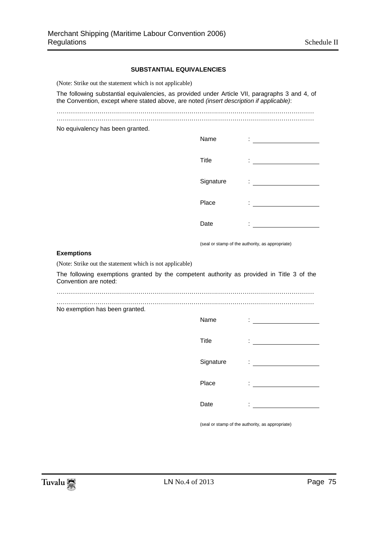#### **SUBSTANTIAL EQUIVALENCIES**

(Note: Strike out the statement which is not applicable)

The following substantial equivalencies, as provided under Article VII, paragraphs 3 and 4, of the Convention, except where stated above, are noted *(insert description if applicable)*:

……………………………………………………………………………………………………………… ……………………………………………………………………………………………………………… No equivalency has been granted. Name : : Title  $\qquad \qquad :$ **Signature** Place Date (seal or stamp of the authority, as appropriate) **Exemptions** (Note: Strike out the statement which is not applicable) The following exemptions granted by the competent authority as provided in Title 3 of the Convention are noted: ……………………………………………………………………………………………………………… ……………………………………………………………………………………………………………… No exemption has been granted. Name : Title : the state of the state of the state of the state of the state of the state of the state of the state of the state of the state of the state of the state of the state of the state of the state of the state of the st Signature : Place : the set of the set of the set of the set of the set of the set of the set of the set of the set of the set of the set of the set of the set of the set of the set of the set of the set of the set of the set of the s Date : (seal or stamp of the authority, as appropriate)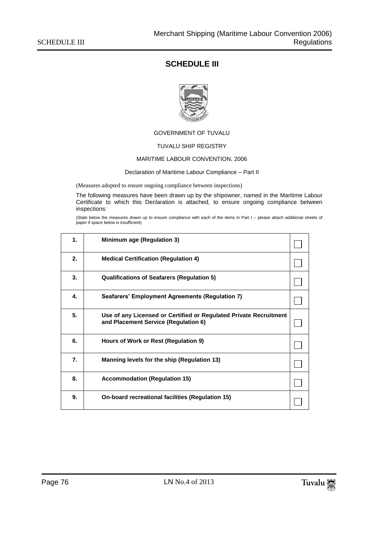# **SCHEDULE III**



# GOVERNMENT OF TUVALU

# TUVALU SHIP REGISTRY

### MARITIME LABOUR CONVENTION, 2006

#### Declaration of Maritime Labour Compliance – Part II

(Measures adopted to ensure ongoing compliance between inspections)

The following measures have been drawn up by the shipowner, named in the Maritime Labour Certificate to which this Declaration is attached, to ensure ongoing compliance between inspections:

(State below the measures drawn up to ensure compliance with each of the items in Part I – please attach additional sheets of paper if space below is insufficient)

| 1. | Minimum age (Regulation 3)                                                                                |  |
|----|-----------------------------------------------------------------------------------------------------------|--|
| 2. | <b>Medical Certification (Regulation 4)</b>                                                               |  |
| 3. | Qualifications of Seafarers (Regulation 5)                                                                |  |
| 4. | Seafarers' Employment Agreements (Regulation 7)                                                           |  |
| 5. | Use of any Licensed or Certified or Regulated Private Recruitment<br>and Placement Service (Regulation 6) |  |
| 6. | Hours of Work or Rest (Regulation 9)                                                                      |  |
| 7. | Manning levels for the ship (Regulation 13)                                                               |  |
| 8. | <b>Accommodation (Regulation 15)</b>                                                                      |  |
| 9. | On-board recreational facilities (Regulation 15)                                                          |  |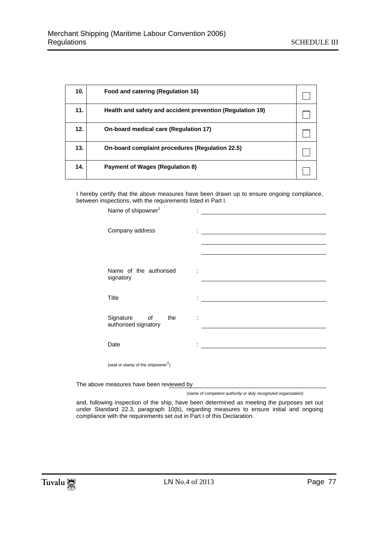| 10. | Food and catering (Regulation 16)                         |  |
|-----|-----------------------------------------------------------|--|
| 11. | Health and safety and accident prevention (Regulation 19) |  |
| 12. | On-board medical care (Regulation 17)                     |  |
| 13. | On-board complaint procedures (Regulation 22.5)           |  |
| 14. | Payment of Wages (Regulation 8)                           |  |

|                 | 10. | Food and catering (Regulation 16)                                                              |                                                                                                                                                                                       |         |
|-----------------|-----|------------------------------------------------------------------------------------------------|---------------------------------------------------------------------------------------------------------------------------------------------------------------------------------------|---------|
|                 | 11. | Health and safety and accident prevention (Regulation 19)                                      |                                                                                                                                                                                       |         |
|                 | 12. | On-board medical care (Regulation 17)                                                          |                                                                                                                                                                                       |         |
|                 | 13. | On-board complaint procedures (Regulation 22.5)                                                |                                                                                                                                                                                       |         |
|                 | 14. | <b>Payment of Wages (Regulation 8)</b>                                                         |                                                                                                                                                                                       |         |
|                 |     | between inspections, with the requirements listed in Part I.<br>Name of shipowner <sup>1</sup> | I hereby certify that the above measures have been drawn up to ensure ongoing compliance,                                                                                             |         |
|                 |     | Company address                                                                                |                                                                                                                                                                                       |         |
|                 |     | Name of the authorised<br>signatory                                                            | ÷                                                                                                                                                                                     |         |
|                 |     | Title                                                                                          |                                                                                                                                                                                       |         |
|                 |     | Signature<br>of<br>the<br>authorised signatory                                                 | ÷                                                                                                                                                                                     |         |
|                 |     | Date                                                                                           | <u> 1989 - Johann Stein, mars an deus an deus Amerikaanse komme van de Fryske komme</u>                                                                                               |         |
|                 |     | (seal or stamp of the shipowner <sup>1</sup> )                                                 |                                                                                                                                                                                       |         |
|                 |     | The above measures have been reviewed by                                                       | (name of competent authority or duly recognized organization)                                                                                                                         |         |
|                 |     | compliance with the requirements set out in Part I of this Declaration.                        | and, following inspection of the ship, have been determined as meeting the purposes set out<br>under Standard 22.3, paragraph 10(b), regarding measures to ensure initial and ongoing |         |
|                 |     |                                                                                                |                                                                                                                                                                                       |         |
| <b>Tuvalu</b> 鳳 |     | LN No.4 of 2013                                                                                |                                                                                                                                                                                       | Page 77 |
|                 |     |                                                                                                |                                                                                                                                                                                       |         |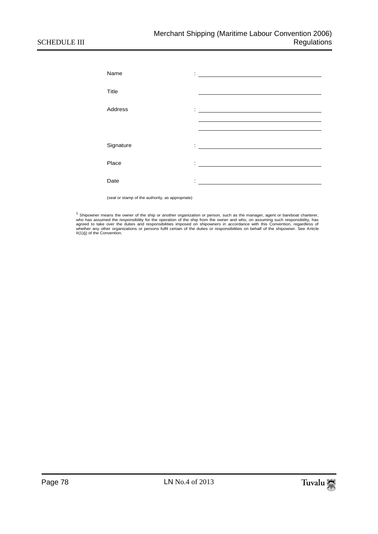| Name      | ٠                                        |
|-----------|------------------------------------------|
| Title     |                                          |
| Address   | ÷                                        |
|           |                                          |
| Signature | ÷                                        |
| Place     | <u> 1989 - Alexandria Alexandria est</u> |
| Date      |                                          |

(seal or stamp of the authority, as appropriate)

<sup>1</sup> Shipowner means the owner of the ship or another organization or person, such as the manager, agent or bareboat charterer, who has assumed the responsibility for the operation of the ship from the owner and who, on ass